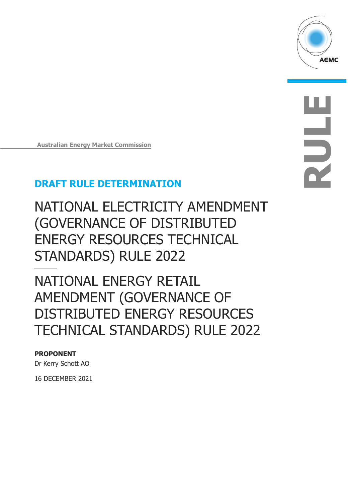

**RULE**

**Australian Energy Market Commission** 

# **DRAFT RULE DETERMINATION**

NATIONAL ELECTRICITY AMENDMENT (GOVERNANCE OF DISTRIBUTED ENERGY RESOURCES TECHNICAL STANDARDS) RULE 2022

NATIONAL ENERGY RETAIL AMENDMENT (GOVERNANCE OF DISTRIBUTED ENERGY RESOURCES TECHNICAL STANDARDS) RULE 2022

### **PROPONENT**

Dr Kerry Schott AO

16 DECEMBER 2021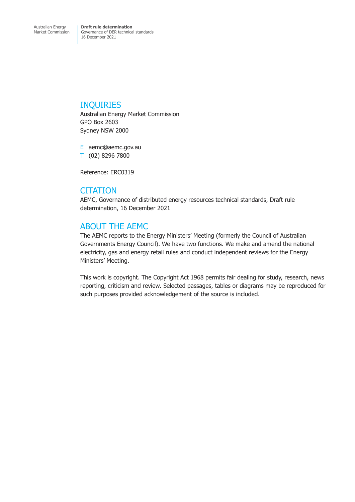### INQUIRIES

Australian Energy Market Commission GPO Box 2603 Sydney NSW 2000

E aemc@aemc.gov.au T (02) 8296 7800

Reference: ERC0319

### **CITATION**

AEMC, Governance of distributed energy resources technical standards, Draft rule determination, 16 December 2021

### ABOUT THE AEMC

The AEMC reports to the Energy Ministers' Meeting (formerly the Council of Australian Governments Energy Council). We have two functions. We make and amend the national electricity, gas and energy retail rules and conduct independent reviews for the Energy Ministers' Meeting.

This work is copyright. The Copyright Act 1968 permits fair dealing for study, research, news reporting, criticism and review. Selected passages, tables or diagrams may be reproduced for such purposes provided acknowledgement of the source is included.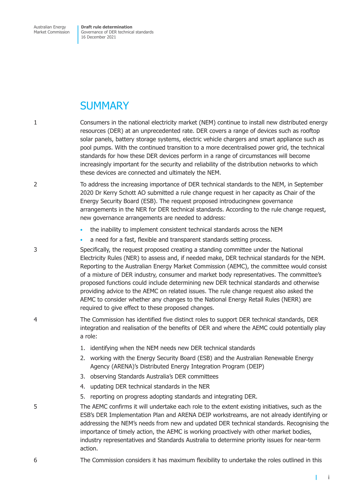Australian Energy Market Commission **Draft rule determination**  Governance of DER technical standards 16 December 2021

# **SUMMARY**

1 Consumers in the national electricity market (NEM) continue to install new distributed energy resources (DER) at an unprecedented rate. DER covers a range of devices such as rooftop solar panels, battery storage systems, electric vehicle chargers and smart appliance such as pool pumps. With the continued transition to a more decentralised power grid, the technical standards for how these DER devices perform in a range of circumstances will become increasingly important for the security and reliability of the distribution networks to which these devices are connected and ultimately the NEM.

2 To address the increasing importance of DER technical standards to the NEM, in September 2020 Dr Kerry Schott AO submitted a rule change request in her capacity as Chair of the Energy Security Board (ESB). The request proposed introducingnew governance arrangements in the NER for DER technical standards. According to the rule change request, new governance arrangements are needed to address:

- the inability to implement consistent technical standards across the NEM
- a need for a fast, flexible and transparent standards setting process.

3 Specifically, the request proposed creating a standing committee under the National Electricity Rules (NER) to assess and, if needed make, DER technical standards for the NEM. Reporting to the Australian Energy Market Commission (AEMC), the committee would consist of a mixture of DER industry, consumer and market body representatives. The committee's proposed functions could include determining new DER technical standards and otherwise providing advice to the AEMC on related issues. The rule change request also asked the AEMC to consider whether any changes to the National Energy Retail Rules (NERR) are required to give effect to these proposed changes.

- 4 The Commission has identified five distinct roles to support DER technical standards, DER integration and realisation of the benefits of DER and where the AEMC could potentially play a role:
	- 1. identifying when the NEM needs new DER technical standards
	- 2. working with the Energy Security Board (ESB) and the Australian Renewable Energy Agency (ARENA)'s Distributed Energy Integration Program (DEIP)
	- 3. observing Standards Australia's DER committees
	- 4. updating DER technical standards in the NER
	- 5. reporting on progress adopting standards and integrating DER.
- 5 The AEMC confirms it will undertake each role to the extent existing initiatives, such as the ESB's DER Implementation Plan and ARENA DEIP workstreams, are not already identifying or addressing the NEM's needs from new and updated DER technical standards. Recognising the importance of timely action, the AEMC is working proactively with other market bodies, industry representatives and Standards Australia to determine priority issues for near-term action.
- 6 The Commission considers it has maximum flexibility to undertake the roles outlined in this

г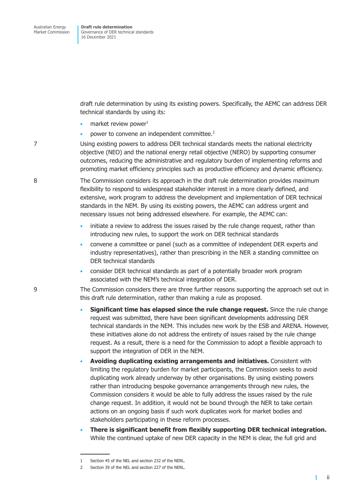draft rule determination by using its existing powers. Specifically, the AEMC can address DER technical standards by using its:

- market review power $1$
- power to convene an independent committee.<sup>2</sup>

7 Using existing powers to address DER technical standards meets the national electricity objective (NEO) and the national energy retail objective (NERO) by supporting consumer outcomes, reducing the administrative and regulatory burden of implementing reforms and promoting market efficiency principles such as productive efficiency and dynamic efficiency.

8 The Commission considers its approach in the draft rule determination provides maximum flexibility to respond to widespread stakeholder interest in a more clearly defined, and extensive, work program to address the development and implementation of DER technical standards in the NEM. By using its existing powers, the AEMC can address urgent and necessary issues not being addressed elsewhere. For example, the AEMC can:

- initiate a review to address the issues raised by the rule change request, rather than introducing new rules, to support the work on DER technical standards
- convene a committee or panel (such as a committee of independent DER experts and industry representatives), rather than prescribing in the NER a standing committee on DER technical standards
- consider DER technical standards as part of a potentially broader work program associated with the NEM's technical integration of DER.

9 The Commission considers there are three further reasons supporting the approach set out in this draft rule determination, rather than making a rule as proposed.

- **Significant time has elapsed since the rule change request.** Since the rule change request was submitted, there have been significant developments addressing DER technical standards in the NEM. This includes new work by the ESB and ARENA. However, these initiatives alone do not address the entirety of issues raised by the rule change request. As a result, there is a need for the Commission to adopt a flexible approach to support the integration of DER in the NEM.
- **Avoiding duplicating existing arrangements and initiatives.** Consistent with limiting the regulatory burden for market participants, the Commission seeks to avoid duplicating work already underway by other organisations. By using existing powers rather than introducing bespoke governance arrangements through new rules, the Commission considers it would be able to fully address the issues raised by the rule change request. In addition, it would not be bound through the NER to take certain actions on an ongoing basis if such work duplicates work for market bodies and stakeholders participating in these reform processes.
- **There is significant benefit from flexibly supporting DER technical integration.**  While the continued uptake of new DER capacity in the NEM is clear, the full grid and

 $\mathbf{I}$ 

<sup>1</sup> Section 45 of the NEL and section 232 of the NERL.

<sup>2</sup> Section 39 of the NEL and section 227 of the NERL.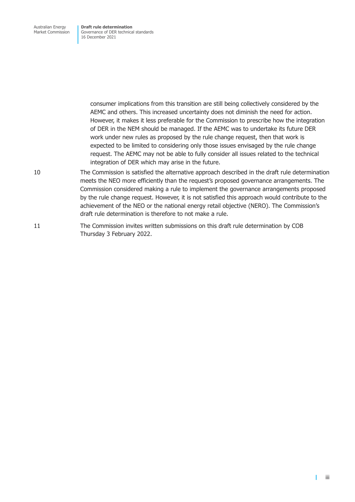> consumer implications from this transition are still being collectively considered by the AEMC and others. This increased uncertainty does not diminish the need for action. However, it makes it less preferable for the Commission to prescribe how the integration of DER in the NEM should be managed. If the AEMC was to undertake its future DER work under new rules as proposed by the rule change request, then that work is expected to be limited to considering only those issues envisaged by the rule change request. The AEMC may not be able to fully consider all issues related to the technical integration of DER which may arise in the future.

- 10 The Commission is satisfied the alternative approach described in the draft rule determination meets the NEO more efficiently than the request's proposed governance arrangements. The Commission considered making a rule to implement the governance arrangements proposed by the rule change request. However, it is not satisfied this approach would contribute to the achievement of the NEO or the national energy retail objective (NERO). The Commission's draft rule determination is therefore to not make a rule.
- 11 The Commission invites written submissions on this draft rule determination by COB Thursday 3 February 2022.

 $\mathbf{I}$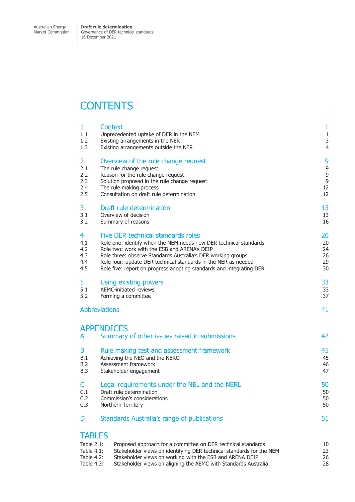Market Commission

Governance of DER technical standards 16 December 2021

# **CONTENTS**

| 1                                                          | <b>Context</b>                                                                                                                                                                                   | $\mathbf{1}$   |
|------------------------------------------------------------|--------------------------------------------------------------------------------------------------------------------------------------------------------------------------------------------------|----------------|
| 1.1                                                        | Unprecedented uptake of DER in the NEM                                                                                                                                                           | $\mathbf{1}$   |
| 1.2                                                        | Existing arrangements in the NER                                                                                                                                                                 | 3              |
| 1.3                                                        | Existing arrangements outside the NER                                                                                                                                                            | $\overline{4}$ |
| $\overline{2}$                                             | Overview of the rule change request                                                                                                                                                              | 9              |
| 2.1                                                        | The rule change request                                                                                                                                                                          | 9              |
| 2.2                                                        | Reason for the rule change request                                                                                                                                                               | 9              |
| 2.3                                                        | Solution proposed in the rule change request                                                                                                                                                     | $\mathsf 9$    |
| 2.4                                                        | The rule making process                                                                                                                                                                          | 12             |
| 2.5                                                        | Consultation on draft rule determination                                                                                                                                                         | 12             |
| 3                                                          | Draft rule determination                                                                                                                                                                         | 13             |
| 3.1                                                        | Overview of decision                                                                                                                                                                             | 13             |
| 3.2                                                        | Summary of reasons                                                                                                                                                                               | 16             |
| 4                                                          | Five DER technical standards roles                                                                                                                                                               | 20             |
| 4.1                                                        | Role one: identify when the NEM needs new DER technical standards                                                                                                                                | 20             |
| 4.2                                                        | Role two: work with the ESB and ARENA's DEIP                                                                                                                                                     | 24             |
| 4.3                                                        | Role three: observe Standards Australia's DER working groups                                                                                                                                     | 26             |
| 4.4                                                        | Role four: update DER technical standards in the NER as needed                                                                                                                                   | 29             |
| 4.5                                                        | Role five: report on progress adopting standards and integrating DER                                                                                                                             | 30             |
| 5                                                          | Using existing powers                                                                                                                                                                            | 33             |
| 5.1                                                        | <b>AEMC-initiated reviews</b>                                                                                                                                                                    | 33             |
| 5.2                                                        | Forming a committee                                                                                                                                                                              | 37             |
|                                                            | <b>Abbreviations</b>                                                                                                                                                                             | 41             |
| A                                                          | <b>APPENDICES</b><br>Summary of other issues raised in submissions                                                                                                                               | 42             |
| B                                                          | Rule making test and assessment framework                                                                                                                                                        | 45             |
| B.1                                                        | Achieving the NEO and the NERO                                                                                                                                                                   | 45             |
| B.2                                                        | Assessment framework                                                                                                                                                                             | 46             |
| <b>B.3</b>                                                 | Stakeholder engagement                                                                                                                                                                           | 47             |
| C                                                          | Legal requirements under the NEL and the NERL                                                                                                                                                    | 50             |
| C.1                                                        | Draft rule determination                                                                                                                                                                         | 50             |
| C.2                                                        | Commission's considerations                                                                                                                                                                      | 50             |
| C.3                                                        | Northern Territory                                                                                                                                                                               | 50             |
| D                                                          | Standards Australia's range of publications                                                                                                                                                      | 51             |
| <b>TABLES</b><br>Table $2.1$ :<br>Table 4.1:<br>Table 4.2: | Proposed approach for a committee on DER technical standards<br>Stakeholder views on identifying DER technical standards for the NEM<br>Stakeholder views on working with the ESB and ARENA DEIP | 10<br>23<br>26 |

Table 4.3: Stakeholder views on aligning the AEMC with Standards Australia 28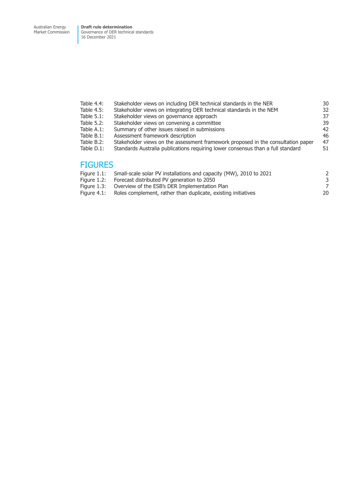Market Commission Governance of DER technical standards 16 December 2021

| Table 4.4:     | Stakeholder views on including DER technical standards in the NER                | 30 |
|----------------|----------------------------------------------------------------------------------|----|
| Table 4.5:     | Stakeholder views on integrating DER technical standards in the NEM              | 32 |
| Table 5.1:     | Stakeholder views on governance approach                                         | 37 |
| Table 5.2:     | Stakeholder views on convening a committee                                       | 39 |
| Table A.1:     | Summary of other issues raised in submissions                                    | 42 |
| Table B.1:     | Assessment framework description                                                 | 46 |
| Table B.2:     | Stakeholder views on the assessment framework proposed in the consultation paper | 47 |
| Table D.1:     | Standards Australia publications requiring lower consensus than a full standard  | 51 |
| <b>FIGURES</b> |                                                                                  |    |
|                |                                                                                  |    |
| Figure 1.1:    | Small-scale solar PV installations and capacity (MW), 2010 to 2021               | 2  |

- Figure 1.2: Forecast distributed PV generation to 2050<br>
Figure 1.3: Overview of the ESB's DER Implementation Plan 7
- Figure 1.3: Overview of the ESB's DER Implementation Plan 7
- Figure 4.1: Roles complement, rather than duplicate, existing initiatives 20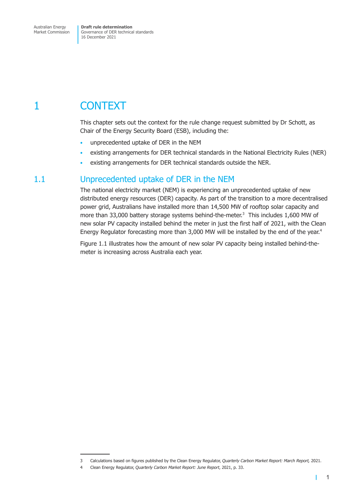<span id="page-7-0"></span>Market Commission

Governance of DER technical standards 16 December 2021

# 1 CONTEXT

This chapter sets out the context for the rule change request submitted by Dr Schott, as Chair of the Energy Security Board (ESB), including the:

- unprecedented uptake of DER in the NEM
- existing arrangements for DER technical standards in the National Electricity Rules (NER)
- existing arrangements for DER technical standards outside the NER.

### 1.1 Unprecedented uptake of DER in the NEM

The national electricity market (NEM) is experiencing an unprecedented uptake of new distributed energy resources (DER) capacity. As part of the transition to a more decentralised power grid, Australians have installed more than 14,500 MW of rooftop solar capacity and more than 33,000 battery storage systems behind-the-meter. $3$  This includes 1,600 MW of new solar PV capacity installed behind the meter in just the first half of 2021, with the Clean Energy Regulator forecasting more than 3,000 MW will be installed by the end of the year.<sup>4</sup>

Figure 1.1 illustrates how the amount of new solar PV capacity being installed behind-themeter is increasing across Australia each year.

<span id="page-7-1"></span>T.

<sup>3</sup> Calculations based on figures published by the Clean Energy Regulator, *Quarterly Carbon Market Report: March Report,* 2021.

<sup>4</sup> Clean Energy Regulator, *Quarterly Carbon Market Report: June Report*, 2021, p. 33.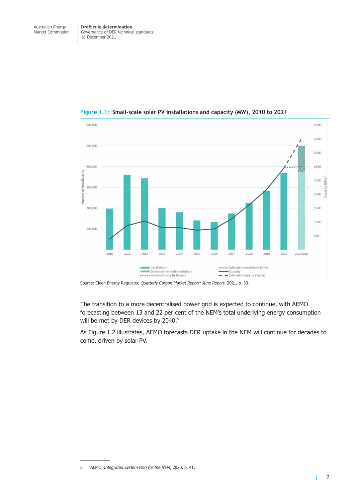

**Figure 1.1: Small-scale solar PV installations and capacity (MW), 2010 to 2021** 

The transition to a more decentralised power grid is expected to continue, with AEMO forecasting between 13 and 22 per cent of the NEM's total underlying energy consumption will be met by DER devices by 2040.<sup>5</sup>

As Figure 1.2 illustrates, AEMO forecasts DER uptake in the NEM will continue for decades to come, driven by solar PV.

 $\overline{1}$ 

Source: Clean Energy Regulator, *Quarterly Carbon Market Report: June Report*, 2021, p. 33.

<sup>5</sup> AEMO, *Integrated System Plan for the NEM*, 2020, p. 41.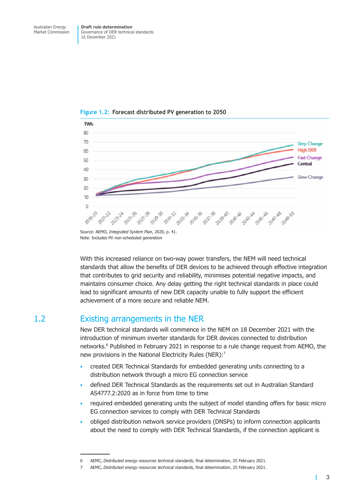

<span id="page-9-0"></span>**Figure 1.2: Forecast distributed PV generation to 2050** 

Source: AEMO, *Integrated System Plan*, 2020, p. 41. Note: Includes PV non-scheduled generation

With this increased reliance on two-way power transfers, the NEM will need technical standards that allow the benefits of DER devices to be achieved through effective integration that contributes to grid security and reliability, minimises potential negative impacts, and maintains consumer choice. Any delay getting the right technical standards in place could lead to significant amounts of new DER capacity unable to fully support the efficient achievement of a more secure and reliable NEM.

### 1.2 Existing arrangements in the NER

New DER technical standards will commence in the NEM on 18 December 2021 with the introduction of minimum inverter standards for DER devices connected to distribution networks.<sup>6</sup> Published in February 2021 in response to a rule change request from AEMO, the new provisions in the National Electricity Rules (NER):<sup>7</sup>

- created DER Technical Standards for embedded generating units connecting to a distribution network through a micro EG connection service
- defined DER Technical Standards as the requirements set out in Australian Standard AS4777.2:2020 as in force from time to time
- required embedded generating units the subject of model standing offers for basic micro EG connection services to comply with DER Technical Standards
- obliged distribution network service providers (DNSPs) to inform connection applicants about the need to comply with DER Technical Standards, if the connection applicant is

<span id="page-9-1"></span>т

<sup>6</sup> AEMC, *Distributed energy resources technical standards*, final determination, 25 February 2021.

<sup>7</sup> AEMC, *Distributed energy resources technical standards,* final determination, 25 February 2021.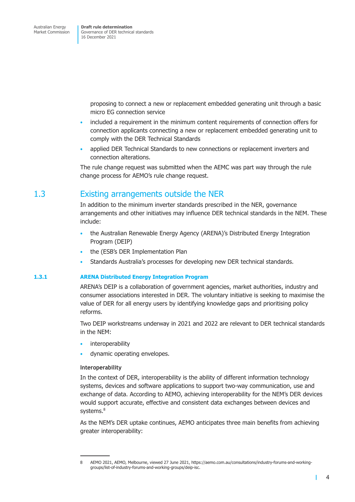> <span id="page-10-0"></span>proposing to connect a new or replacement embedded generating unit through a basic micro EG connection service

- included a requirement in the minimum content requirements of connection offers for connection applicants connecting a new or replacement embedded generating unit to comply with the DER Technical Standards
- applied DER Technical Standards to new connections or replacement inverters and connection alterations.

The rule change request was submitted when the AEMC was part way through the rule change process for AEMO's rule change request.

### 1.3 Existing arrangements outside the NER

In addition to the minimum inverter standards prescribed in the NER, governance arrangements and other initiatives may influence DER technical standards in the NEM. These include:

- the Australian Renewable Energy Agency (ARENA)'s Distributed Energy Integration Program (DEIP)
- the (ESB's DER Implementation Plan
- Standards Australia's processes for developing new DER technical standards.

### **1.3.1 ARENA Distributed Energy Integration Program**

ARENA's DEIP is a collaboration of government agencies, market authorities, industry and consumer associations interested in DER. The voluntary initiative is seeking to maximise the value of DER for all energy users by identifying knowledge gaps and prioritising policy reforms.

Two DEIP workstreams underway in 2021 and 2022 are relevant to DER technical standards in the NEM:

- **interoperability**
- dynamic operating envelopes.

### **Interoperability**

In the context of DER, interoperability is the ability of different information technology systems, devices and software applications to support two-way communication, use and exchange of data. According to AEMO, achieving interoperability for the NEM's DER devices would support accurate, effective and consistent data exchanges between devices and systems.<sup>8</sup>

As the NEM's DER uptake continues, AEMO anticipates three main benefits from achieving greater interoperability:

<span id="page-10-1"></span>T

<sup>8</sup> AEMO 2021, AEMO, Melbourne, viewed 27 June 2021, https://aemo.com.au/consultations/industry-forums-and-workinggroups/list-of-industry-forums-and-working-groups/deip-isc.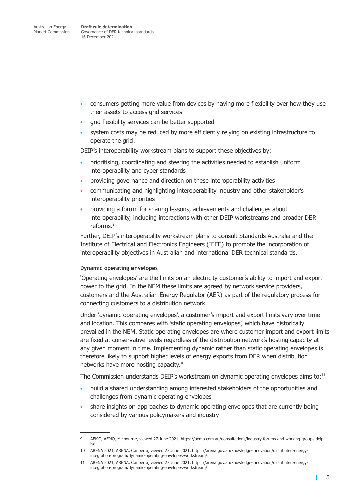- consumers getting more value from devices by having more flexibility over how they use their assets to access grid services
- grid flexibility services can be better supported
- system costs may be reduced by more efficiently relying on existing infrastructure to operate the grid.

DEIP's interoperability workstream plans to support these objectives by:

- prioritising, coordinating and steering the activities needed to establish uniform interoperability and cyber standards
- providing governance and direction on these interoperability activities
- communicating and highlighting interoperability industry and other stakeholder's interoperability priorities
- providing a forum for sharing lessons, achievements and challenges about interoperability, including interactions with other DEIP workstreams and broader DER reforms.9

Further, DEIP's interoperability workstream plans to consult Standards Australia and the Institute of Electrical and Electronics Engineers (IEEE) to promote the incorporation of interoperability objectives in Australian and international DER technical standards.

### **Dynamic operating envelopes**

'Operating envelopes' are the limits on an electricity customer's ability to import and export power to the grid. In the NEM these limits are agreed by network service providers, customers and the Australian Energy Regulator (AER) as part of the regulatory process for connecting customers to a distribution network.

Under 'dynamic operating envelopes', a customer's import and export limits vary over time and location. This compares with 'static operating envelopes', which have historically prevailed in the NEM. Static operating envelopes are where customer import and export limits are fixed at conservative levels regardless of the distribution network's hosting capacity at any given moment in time. Implementing dynamic rather than static operating envelopes is therefore likely to support higher levels of energy exports from DER when distribution networks have more hosting capacity.10

The Commission understands DEIP's workstream on dynamic operating envelopes aims to:<sup>11</sup>

- build a shared understanding among interested stakeholders of the opportunities and challenges from dynamic operating envelopes
- share insights on approaches to dynamic operating envelopes that are currently being considered by various policymakers and industry

т

<sup>9</sup> AEMO, AEMO, Melbourne, viewed 27 June 2021, https://aemo.com.au/consultations/industry-forums-and-working-groups.deipisc.

<sup>10</sup> ARENA 2021, ARENA, Canberra, viewed 27 June 2021, https://arena.gov.au/knowledge-innovation/distributed-energyintegration-program/dynamic-operating-envelopes-workstream/.

<sup>11</sup> ARENA 2021, ARENA, Canberra, viewed 27 June 2021, https://arena.gov.au/knowledge-innovation/distributed-energyintegration-program/dynamic-operating-envelopes-workstream/.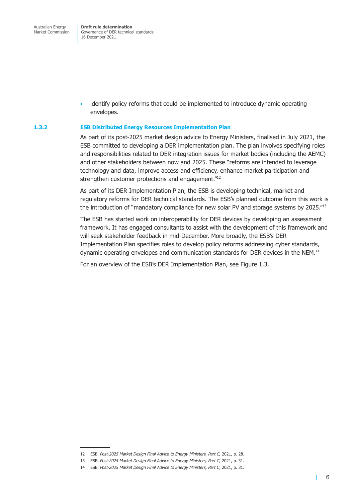Governance of DER technical standards 16 December 2021

• identify policy reforms that could be implemented to introduce dynamic operating envelopes.

#### **1.3.2 ESB Distributed Energy Resources Implementation Plan**

As part of its post-2025 market design advice to Energy Ministers, finalised in July 2021, the ESB committed to developing a DER implementation plan. The plan involves specifying roles and responsibilities related to DER integration issues for market bodies (including the AEMC) and other stakeholders between now and 2025. These "reforms are intended to leverage technology and data, improve access and efficiency, enhance market participation and strengthen customer protections and engagement."<sup>12</sup>

As part of its DER Implementation Plan, the ESB is developing technical, market and regulatory reforms for DER technical standards. The ESB's planned outcome from this work is the introduction of "mandatory compliance for new solar PV and storage systems by 2025."<sup>13</sup>

The ESB has started work on interoperability for DER devices by developing an assessment framework. It has engaged consultants to assist with the development of this framework and will seek stakeholder feedback in mid-December. More broadly, the ESB's DER Implementation Plan specifies roles to develop policy reforms addressing cyber standards, dynamic operating envelopes and communication standards for DER devices in the NEM.<sup>14</sup>

For an overview of the ESB's DER Implementation Plan, see Figure 1.3.

 $\mathbf{I}$ 

<sup>12</sup> ESB, *Post-2025 Market Design Final Advice to Energy Ministers, Part C,* 2021, p. 28.

<sup>13</sup> ESB, *Post-2025 Market Design Final Advice to Energy Ministers, Part C,* 2021, p. 31.

<sup>14</sup> ESB, *Post-2025 Market Design Final Advice to Energy Ministers, Part C*, 2021, p. 31.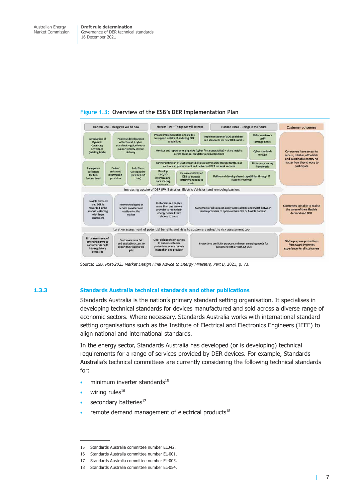



Source: ESB, *Post-2025 Market Design Final Advice to Energy Ministers, Part B*, 2021, p. 73.

#### **1.3.3 Standards Australia technical standards and other publications**

Standards Australia is the nation's primary standard setting organisation. It specialises in developing technical standards for devices manufactured and sold across a diverse range of economic sectors. Where necessary, Standards Australia works with international standard setting organisations such as the Institute of Electrical and Electronics Engineers (IEEE) to align national and international standards.

In the energy sector, Standards Australia has developed (or is developing) technical requirements for a range of services provided by DER devices. For example, Standards Australia's technical committees are currently considering the following technical standards for:

- $\bullet$  minimum inverter standards<sup>15</sup>
- wiring rules $16$
- secondary batteries<sup>17</sup>
- remote demand management of electrical products<sup>18</sup>

т

<sup>15</sup> Standards Australia committee number EL042.

<sup>16</sup> Standards Australia committee number EL-001.

<sup>17</sup> Standards Australia committee number EL-005.

<sup>18</sup> Standards Australia committee number EL-054.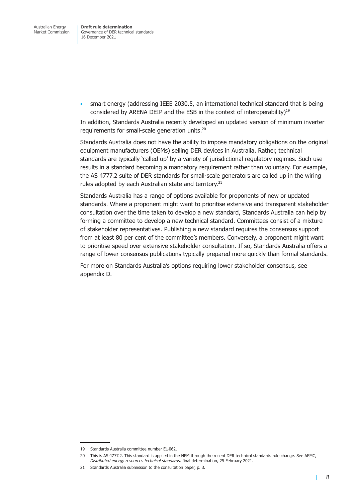Governance of DER technical standards 16 December 2021

• smart energy (addressing IEEE 2030.5, an international technical standard that is being considered by ARENA DEIP and the ESB in the context of interoperability)<sup>19</sup>

In addition, Standards Australia recently developed an updated version of minimum inverter requirements for small-scale generation units.20

Standards Australia does not have the ability to impose mandatory obligations on the original equipment manufacturers (OEMs) selling DER devices in Australia. Rather, technical standards are typically 'called up' by a variety of jurisdictional regulatory regimes. Such use results in a standard becoming a mandatory requirement rather than voluntary. For example, the AS 4777.2 suite of DER standards for small-scale generators are called up in the wiring rules adopted by each Australian state and territory.<sup>21</sup>

Standards Australia has a range of options available for proponents of new or updated standards. Where a proponent might want to prioritise extensive and transparent stakeholder consultation over the time taken to develop a new standard, Standards Australia can help by forming a committee to develop a new technical standard. Committees consist of a mixture of stakeholder representatives. Publishing a new standard requires the consensus support from at least 80 per cent of the committee's members. Conversely, a proponent might want to prioritise speed over extensive stakeholder consultation. If so, Standards Australia offers a range of lower consensus publications typically prepared more quickly than formal standards.

For more on Standards Australia's options requiring lower stakeholder consensus, see appendix D.

1

<sup>19</sup> Standards Australia committee number EL-062.

<sup>20</sup> This is AS 4777.2. This standard is applied in the NEM through the recent DER technical standards rule change. See AEMC, *Distributed energy resources technical standards,* final determination, 25 February 2021.

<sup>21</sup> Standards Australia submission to the consultation paper, p. 3.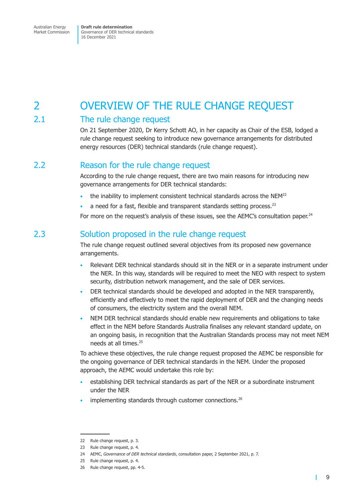# <span id="page-15-0"></span>2 OVERVIEW OF THE RULE CHANGE REQUEST

### 2.1 The rule change request

On 21 September 2020, Dr Kerry Schott AO, in her capacity as Chair of the ESB, lodged a rule change request seeking to introduce new governance arrangements for distributed energy resources (DER) technical standards (rule change request).

### 2.2 Reason for the rule change request

According to the rule change request, there are two main reasons for introducing new governance arrangements for DER technical standards:

- the inability to implement consistent technical standards across the NEM<sup>22</sup>
- a need for a fast, flexible and transparent standards setting process.<sup>23</sup>

For more on the request's analysis of these issues, see the AEMC's consultation paper.<sup>24</sup>

### 2.3 Solution proposed in the rule change request

The rule change request outlined several objectives from its proposed new governance arrangements.

- Relevant DER technical standards should sit in the NER or in a separate instrument under the NER. In this way, standards will be required to meet the NEO with respect to system security, distribution network management, and the sale of DER services.
- DER technical standards should be developed and adopted in the NER transparently, efficiently and effectively to meet the rapid deployment of DER and the changing needs of consumers, the electricity system and the overall NEM.
- NEM DER technical standards should enable new requirements and obligations to take effect in the NEM before Standards Australia finalises any relevant standard update, on an ongoing basis, in recognition that the Australian Standards process may not meet NEM needs at all times.25

To achieve these objectives, the rule change request proposed the AEMC be responsible for the ongoing governance of DER technical standards in the NEM. Under the proposed approach, the AEMC would undertake this role by:

- establishing DER technical standards as part of the NER or a subordinate instrument under the NER
- implementing standards through customer connections.<sup>26</sup>

 $\mathbf{I}$ 

<sup>22</sup> Rule change request, p. 3.

<sup>23</sup> Rule change request, p. 4.

<sup>24</sup> AEMC, *Governance of DER technical standards*, consultation paper, 2 September 2021, p. 7.

<sup>25</sup> Rule change request, p. 4.

<sup>26</sup> Rule change request, pp. 4-5.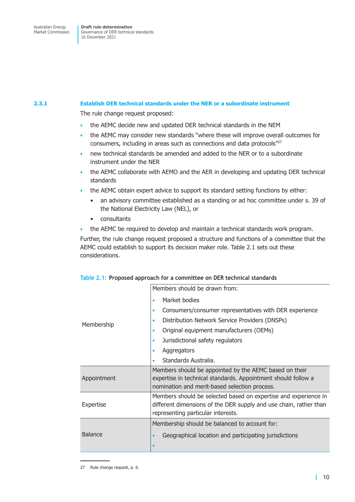Market Commission

Governance of DER technical standards 16 December 2021

### **2.3.1 Establish DER technical standards under the NER or a subordinate instrument**

The rule change request proposed:

- the AEMC decide new and updated DER technical standards in the NEM
- the AEMC may consider new standards "where these will improve overall outcomes for consumers, including in areas such as connections and data protocols"27
- new technical standards be amended and added to the NER or to a subordinate instrument under the NER
- the AEMC collaborate with AEMO and the AER in developing and updating DER technical standards
- the AEMC obtain expert advice to support its standard setting functions by either:
	- an advisory committee established as a standing or ad hoc committee under s. 39 of the National Electricity Law (NEL), or
	- consultants
- the AEMC be required to develop and maintain a technical standards work program.

Further, the rule change request proposed a structure and functions of a committee that the AEMC could establish to support its decision maker role. Table 2.1 sets out these considerations.

|                | Members should be drawn from:                                                                                                                                              |
|----------------|----------------------------------------------------------------------------------------------------------------------------------------------------------------------------|
|                | Market bodies<br>$\bullet$                                                                                                                                                 |
|                | Consumers/consumer representatives with DER experience<br>$\bullet$                                                                                                        |
| Membership     | Distribution Network Service Providers (DNSPs)<br>$\bullet$                                                                                                                |
|                | Original equipment manufacturers (OEMs)<br>$\bullet$                                                                                                                       |
|                | Jurisdictional safety regulators<br>$\bullet$                                                                                                                              |
|                | Aggregators<br>$\bullet$                                                                                                                                                   |
|                | Standards Australia.<br>$\bullet$                                                                                                                                          |
| Appointment    | Members should be appointed by the AEMC based on their<br>expertise in technical standards. Appointment should follow a<br>nomination and merit-based selection process.   |
| Expertise      | Members should be selected based on expertise and experience in<br>different dimensions of the DER supply and use chain, rather than<br>representing particular interests. |
|                | Membership should be balanced to account for:                                                                                                                              |
| <b>Balance</b> | Geographical location and participating jurisdictions<br>$\bullet$<br>$\bullet$                                                                                            |

<span id="page-16-0"></span>

|  |  |  |  |  | Table 2.1: Proposed approach for a committee on DER technical standards |  |  |  |
|--|--|--|--|--|-------------------------------------------------------------------------|--|--|--|
|--|--|--|--|--|-------------------------------------------------------------------------|--|--|--|

<sup>27</sup> Rule change request, p. 6.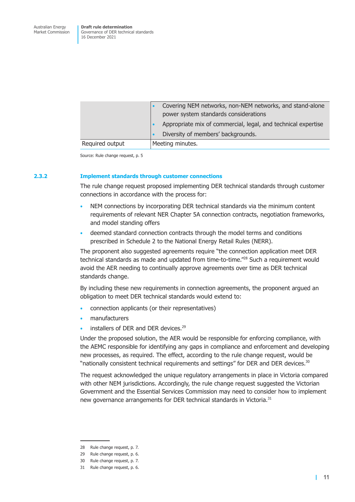|                 | Covering NEM networks, non-NEM networks, and stand-alone<br>power system standards considerations<br>Appropriate mix of commercial, legal, and technical expertise<br>Diversity of members' backgrounds. |
|-----------------|----------------------------------------------------------------------------------------------------------------------------------------------------------------------------------------------------------|
| Required output | Meeting minutes.                                                                                                                                                                                         |

Source: Rule change request, p. 5

#### **2.3.2 Implement standards through customer connections**

The rule change request proposed implementing DER technical standards through customer connections in accordance with the process for:

- NEM connections by incorporating DER technical standards via the minimum content requirements of relevant NER Chapter 5A connection contracts, negotiation frameworks, and model standing offers
- deemed standard connection contracts through the model terms and conditions prescribed in Schedule 2 to the National Energy Retail Rules (NERR).

The proponent also suggested agreements require "the connection application meet DER technical standards as made and updated from time-to-time."28 Such a requirement would avoid the AER needing to continually approve agreements over time as DER technical standards change.

By including these new requirements in connection agreements, the proponent argued an obligation to meet DER technical standards would extend to:

- connection applicants (or their representatives)
- manufacturers
- installers of DER and DER devices.<sup>29</sup>

Under the proposed solution, the AER would be responsible for enforcing compliance, with the AEMC responsible for identifying any gaps in compliance and enforcement and developing new processes, as required. The effect, according to the rule change request, would be "nationally consistent technical requirements and settings" for DER and DER devices.<sup>30</sup>

The request acknowledged the unique regulatory arrangements in place in Victoria compared with other NEM jurisdictions. Accordingly, the rule change request suggested the Victorian Government and the Essential Services Commission may need to consider how to implement new governance arrangements for DER technical standards in Victoria.<sup>31</sup>

<sup>28</sup> Rule change request, p. 7.

<sup>29</sup> Rule change request, p. 6.

<sup>30</sup> Rule change request, p. 7.

<sup>31</sup> Rule change request, p. 6.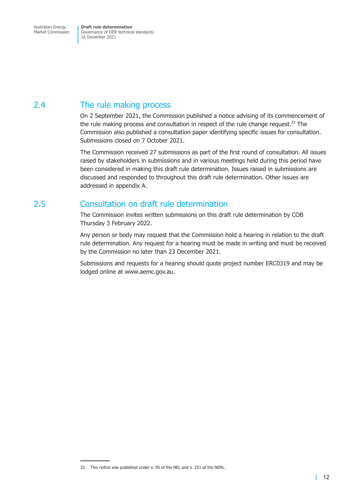<span id="page-18-0"></span>Market Commission

Governance of DER technical standards 16 December 2021

### 2.4 The rule making process

On 2 September 2021, the Commission published a notice advising of its commencement of the rule making process and consultation in respect of the rule change request. $32$  The Commission also published a consultation paper identifying specific issues for consultation. Submissions closed on 7 October 2021.

The Commission received 27 submissions as part of the first round of consultation. All issues raised by stakeholders in submissions and in various meetings held during this period have been considered in making this draft rule determination. Issues raised in submissions are discussed and responded to throughout this draft rule determination. Other issues are addressed in appendix A.

### 2.5 Consultation on draft rule determination

The Commis[sion invites w](#page-48-1)ritten submissions on this draft rule determination by COB Thursday 3 February 2022.

Any person or body may request that the Commission hold a hearing in relation to the draft rule determination. Any request for a hearing must be made in writing and must be received by the Commission no later than 23 December 2021.

Submissions and requests for a hearing should quote project number ERC0319 and may be lodged online at www.aemc.gov.au.

<sup>32</sup> This notice was published under s. 95 of the NEL and s. 251 of the NERL.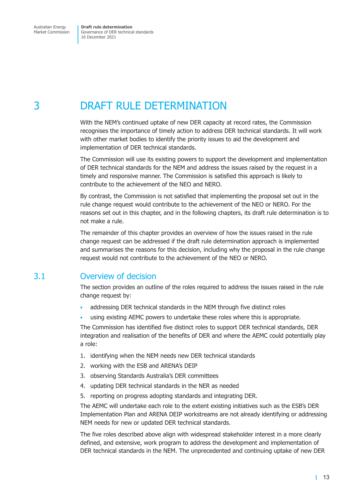# <span id="page-19-0"></span>3 DRAFT RULE DETERMINATION

With the NEM's continued uptake of new DER capacity at record rates, the Commission recognises the importance of timely action to address DER technical standards. It will work with other market bodies to identify the priority issues to aid the development and implementation of DER technical standards.

The Commission will use its existing powers to support the development and implementation of DER technical standards for the NEM and address the issues raised by the request in a timely and responsive manner. The Commission is satisfied this approach is likely to contribute to the achievement of the NEO and NERO.

By contrast, the Commission is not satisfied that implementing the proposal set out in the rule change request would contribute to the achievement of the NEO or NERO. For the reasons set out in this chapter, and in the following chapters, its draft rule determination is to not make a rule.

The remainder of this chapter provides an overview of how the issues raised in the rule change request can be addressed if the draft rule determination approach is implemented and summarises the reasons for this decision, including why the proposal in the rule change request would not contribute to the achievement of the NEO or NERO.

### 3.1 Overview of decision

The section provides an outline of the roles required to address the issues raised in the rule change request by:

- addressing DER technical standards in the NEM through five distinct roles
- using existing AEMC powers to undertake these roles where this is appropriate.

The Commission has identified five distinct roles to support DER technical standards, DER integration and realisation of the benefits of DER and where the AEMC could potentially play a role:

- 1. identifying when the NEM needs new DER technical standards
- 2. working with the ESB and ARENA's DEIP
- 3. observing Standards Australia's DER committees
- 4. updating DER technical standards in the NER as needed
- 5. reporting on progress adopting standards and integrating DER.

The AEMC will undertake each role to the extent existing initiatives such as the ESB's DER Implementation Plan and ARENA DEIP workstreams are not already identifying or addressing NEM needs for new or updated DER technical standards.

The five roles described above align with widespread stakeholder interest in a more clearly defined, and extensive, work program to address the development and implementation of DER technical standards in the NEM. The unprecedented and continuing uptake of new DER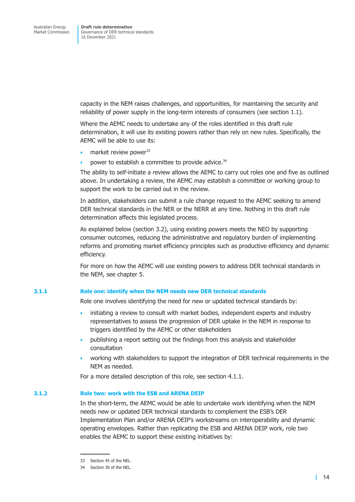capacity in the NEM raises challenges, and opportunities, for maintaining the security and reliability of power supply in the long-term interests of consumers (see section 1.1).

Where the AEMC needs to undertake any of the roles identified in this draft rule determination, it will use its existing powers rather than rely on new rules. Specifically, the AEMC will be able to use its:

- market review power<sup>33</sup>
- power to establish a committee to provide advice.<sup>34</sup>

The ability to self-initiate a review allows the AEMC to carry out roles one and five as outlined above. In undertaking a review, the AEMC may establish a committee or working group to support the work to be carried out in the review.

In addition, stakeholders can submit a rule change request to the AEMC seeking to amend DER technical standards in the NER or the NERR at any time. Nothing in this draft rule determination affects this legislated process.

As explained below (section 3.2), using existing powers meets the NEO by supporting consumer outcomes, reducing the administrative and regulatory burden of implementing reforms and promoting market efficiency principles such as productive efficiency and dynamic efficiency.

For more on how the AEMC will use existing powers to address DER technical standards in the NEM, see chapter 5.

#### **3.1.1 Role one: identify when the NEM needs new DER technical standards**

Role one invo[lves identif](#page-39-1)ying the need for new or updated technical standards by:

- initiating a review to consult with market bodies, independent experts and industry representatives to assess the progression of DER uptake in the NEM in response to triggers identified by the AEMC or other stakeholders
- publishing a report setting out the findings from this analysis and stakeholder consultation
- working with stakeholders to support the integration of DER technical requirements in the NEM as needed.

For a more detailed description of this role, see section 4.1.1.

#### **3.1.2 Role two: work with the ESB and ARENA DEIP**

In the short-term, the AEMC would be able to [undertake work](#page-26-1) identifying when the NEM needs new or updated DER technical standards to complement the ESB's DER Implementation Plan and/or ARENA DEIP's workstreams on interoperability and dynamic operating envelopes. Rather than replicating the ESB and ARENA DEIP work, role two enables the AEMC to support these existing initiatives by:

<sup>33</sup> Section 45 of the NEL.

<sup>34</sup> Section 39 of the NEL.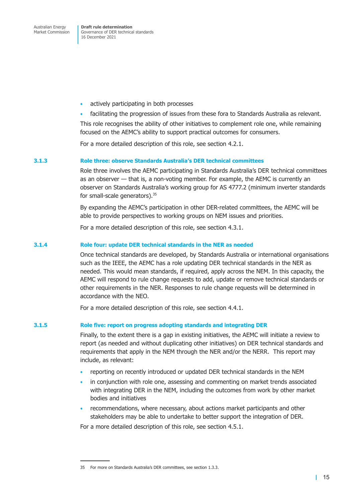Governance of DER technical standards 16 December 2021

- actively participating in both processes
- facilitating the progression of issues from these fora to Standards Australia as relevant.

This role recognises the ability of other initiatives to complement role one, while remaining focused on the AEMC's ability to support practical outcomes for consumers.

For a more detailed description of this role, see section 4.2.1.

#### **3.1.3 Role three: observe Standards Australia's DER technical committees**

Role three involves the AEMC participating in St[andards Austr](#page-30-1)alia's DER technical committees as an observer — that is, a non-voting member. For example, the AEMC is currently an observer on Standards Australia's working group for AS 4777.2 (minimum inverter standards for small-scale generators).<sup>35</sup>

By expanding the AEMC's participation in other DER-related committees, the AEMC will be able to provide perspectives to working groups on NEM issues and priorities.

For a more detailed description of this role, see section 4.3.1.

#### **3.1.4 Role four: update DER technical standards in the NER as needed**

Once technical standards are developed, by Sta[ndards Austra](#page-32-1)lia or international organisations such as the IEEE, the AEMC has a role updating DER technical standards in the NER as needed. This would mean standards, if required, apply across the NEM. In this capacity, the AEMC will respond to rule change requests to add, update or remove technical standards or other requirements in the NER. Responses to rule change requests will be determined in accordance with the NEO.

For a more detailed description of this role, see section 4.4.1.

#### **3.1.5 Role five: report on progress adopting standards and integrating DER**

Finally, to the extent there is a gap in existing i[nitiatives, the](#page-35-1) AEMC will initiate a review to report (as needed and without duplicating other initiatives) on DER technical standards and requirements that apply in the NEM through the NER and/or the NERR. This report may include, as relevant:

- reporting on recently introduced or updated DER technical standards in the NEM
- in conjunction with role one, assessing and commenting on market trends associated with integrating DER in the NEM, including the outcomes from work by other market bodies and initiatives
- recommendations, where necessary, about actions market participants and other stakeholders may be able to undertake to better support the integration of DER.

For a more detailed description of this role, see section 4.5.1.

<sup>35</sup> For more on Standards Australia's DER committees, see section 1.3.3.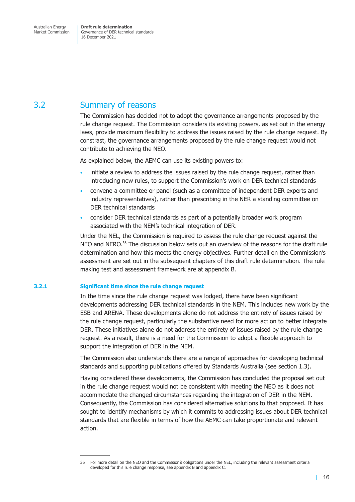<span id="page-22-0"></span>Market Commission

Governance of DER technical standards 16 December 2021

### 3.2 Summary of reasons

The Commission has decided not to adopt the governance arrangements proposed by the rule change request. The Commission considers its existing powers, as set out in the energy laws, provide maximum flexibility to address the issues raised by the rule change request. By constrast, the governance arrangements proposed by the rule change request would not contribute to achieving the NEO.

As explained below, the AEMC can use its existing powers to:

- initiate a review to address the issues raised by the rule change request, rather than introducing new rules, to support the Commission's work on DER technical standards
- convene a committee or panel (such as a committee of independent DER experts and industry representatives), rather than prescribing in the NER a standing committee on DER technical standards
- consider DER technical standards as part of a potentially broader work program associated with the NEM's technical integration of DER.

Under the NEL, the Commission is required to assess the rule change request against the NEO and NERO.<sup>36</sup> The discussion below sets out an overview of the reasons for the draft rule determination and how this meets the energy objectives. Further detail on the Commission's assessment are set out in the subsequent chapters of this draft rule determination. The rule making test and assessment framework are at appendix B.

#### **3.2.1 Significant time since the rule change request**

In the time since the rule change request was [lodged, ther](#page-51-1)e have been significant developments addressing DER technical standards in the NEM. This includes new work by the ESB and ARENA. These developments alone do not address the entirety of issues raised by the rule change request, particularly the substantive need for more action to better integrate DER. These initiatives alone do not address the entirety of issues raised by the rule change request. As a result, there is a need for the Commission to adopt a flexible approach to support the integration of DER in the NEM.

The Commission also understands there are a range of approaches for developing technical standards and supporting publications offered by Standards Australia (see section 1.3).

Having considered these developments, the Commission has concluded the proposal set out in the rule change request would not be consistent with meeting the NEO as it does not accommodate the changed circumstances regarding the integration of DE[R in the NEM](#page-10-1). Consequently, the Commission has considered alternative solutions to that proposed. It has sought to identify mechanisms by which it commits to addressing issues about DER technical standards that are flexible in terms of how the AEMC can take proportionate and relevant action.

<sup>36</sup> For more detail on the NEO and the Commission's obligations under the NEL, including the relevant assessment criteria developed for this rule change response, see appendix B and appendix C.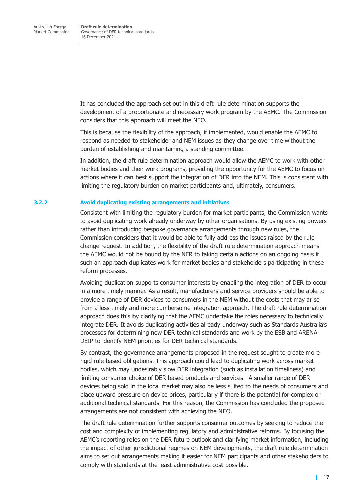It has concluded the approach set out in this draft rule determination supports the development of a proportionate and necessary work program by the AEMC. The Commission considers that this approach will meet the NEO.

This is because the flexibility of the approach, if implemented, would enable the AEMC to respond as needed to stakeholder and NEM issues as they change over time without the burden of establishing and maintaining a standing committee.

In addition, the draft rule determination approach would allow the AEMC to work with other market bodies and their work programs, providing the opportunity for the AEMC to focus on actions where it can best support the integration of DER into the NEM. This is consistent with limiting the regulatory burden on market participants and, ultimately, consumers.

#### **3.2.2 Avoid duplicating existing arrangements and initiatives**

Consistent with limiting the regulatory burden for market participants, the Commission wants to avoid duplicating work already underway by other organisations. By using existing powers rather than introducing bespoke governance arrangements through new rules, the Commission considers that it would be able to fully address the issues raised by the rule change request. In addition, the flexibility of the draft rule determination approach means the AEMC would not be bound by the NER to taking certain actions on an ongoing basis if such an approach duplicates work for market bodies and stakeholders participating in these reform processes.

Avoiding duplication supports consumer interests by enabling the integration of DER to occur in a more timely manner. As a result, manufacturers and service providers should be able to provide a range of DER devices to consumers in the NEM without the costs that may arise from a less timely and more cumbersome integration approach. The draft rule determination approach does this by clarifying that the AEMC undertake the roles necessary to technically integrate DER. It avoids duplicating activities already underway such as Standards Australia's processes for determining new DER technical standards and work by the ESB and ARENA DEIP to identify NEM priorities for DER technical standards.

By contrast, the governance arrangements proposed in the request sought to create more rigid rule-based obligations. This approach could lead to duplicating work across market bodies, which may undesirably slow DER integration (such as installation timeliness) and limiting consumer choice of DER based products and services. A smaller range of DER devices being sold in the local market may also be less suited to the needs of consumers and place upward pressure on device prices, particularly if there is the potential for complex or additional technical standards. For this reason, the Commission has concluded the proposed arrangements are not consistent with achieving the NEO.

The draft rule determination further supports consumer outcomes by seeking to reduce the cost and complexity of implementing regulatory and administrative reforms. By focusing the AEMC's reporting roles on the DER future outlook and clarifying market information, including the impact of other jurisdictional regimes on NEM developments, the draft rule determination aims to set out arrangements making it easier for NEM participants and other stakeholders to comply with standards at the least administrative cost possible.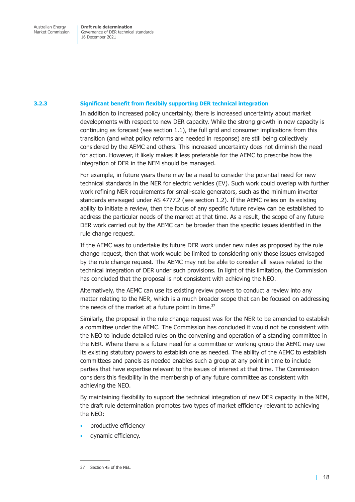Market Commission

Governance of DER technical standards 16 December 2021

#### **3.2.3 Significant benefit from flexibily supporting DER technical integration**

In addition to increased policy uncertainty, there is increased uncertainty about market developments with respect to new DER capacity. While the strong growth in new capacity is continuing as forecast (see section 1.1), the full grid and consumer implications from this transition (and what policy reforms are needed in response) are still being collectively considered by the AEMC and others. This increased uncertainty does not diminish the need for action. However, it likely makes it less preferable for the AEMC to prescribe how the integration of DER in the N[EM should b](#page-7-1)e managed.

For example, in future years there may be a need to consider the potential need for new technical standards in the NER for electric vehicles (EV). Such work could overlap with further work refining NER requirements for small-scale generators, such as the minimum inverter standards envisaged under AS 4777.2 (see section 1.2). If the AEMC relies on its existing ability to initiate a review, then the focus of any specific future review can be established to address the particular needs of the market at that time. As a result, the scope of any future DER work carried out by the AEMC can be [broader tha](#page-9-1)n the specific issues identified in the rule change request.

If the AEMC was to undertake its future DER work under new rules as proposed by the rule change request, then that work would be limited to considering only those issues envisaged by the rule change request. The AEMC may not be able to consider all issues related to the technical integration of DER under such provisions. In light of this limitation, the Commission has concluded that the proposal is not consistent with achieving the NEO.

Alternatively, the AEMC can use its existing review powers to conduct a review into any matter relating to the NER, which is a much broader scope that can be focused on addressing the needs of the market at a future point in time.<sup>37</sup>

Similarly, the proposal in the rule change request was for the NER to be amended to establish a committee under the AEMC. The Commission has concluded it would not be consistent with the NEO to include detailed rules on the convening and operation of a standing committee in the NER. Where there is a future need for a committee or working group the AEMC may use its existing statutory powers to establish one as needed. The ability of the AEMC to establish committees and panels as needed enables such a group at any point in time to include parties that have expertise relevant to the issues of interest at that time. The Commission considers this flexibility in the membership of any future committee as consistent with achieving the NEO.

By maintaining flexibility to support the technical integration of new DER capacity in the NEM, the draft rule determination promotes two types of market efficiency relevant to achieving the NEO:

- productive efficiency
- dynamic efficiency.

<sup>37</sup> Section 45 of the NEL.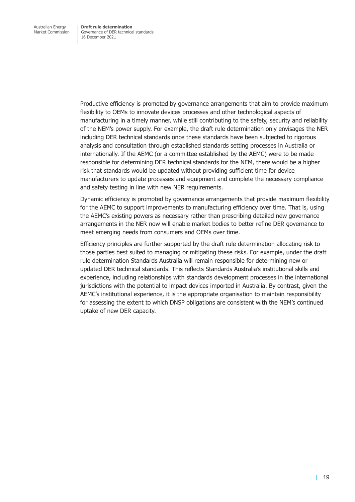Productive efficiency is promoted by governance arrangements that aim to provide maximum flexibility to OEMs to innovate devices processes and other technological aspects of manufacturing in a timely manner, while still contributing to the safety, security and reliability of the NEM's power supply. For example, the draft rule determination only envisages the NER including DER technical standards once these standards have been subjected to rigorous analysis and consultation through established standards setting processes in Australia or internationally. If the AEMC (or a committee established by the AEMC) were to be made responsible for determining DER technical standards for the NEM, there would be a higher risk that standards would be updated without providing sufficient time for device manufacturers to update processes and equipment and complete the necessary compliance and safety testing in line with new NER requirements.

Dynamic efficiency is promoted by governance arrangements that provide maximum flexibility for the AEMC to support improvements to manufacturing efficiency over time. That is, using the AEMC's existing powers as necessary rather than prescribing detailed new governance arrangements in the NER now will enable market bodies to better refine DER governance to meet emerging needs from consumers and OEMs over time.

Efficiency principles are further supported by the draft rule determination allocating risk to those parties best suited to managing or mitigating these risks. For example, under the draft rule determination Standards Australia will remain responsible for determining new or updated DER technical standards. This reflects Standards Australia's institutional skills and experience, including relationships with standards development processes in the international jurisdictions with the potential to impact devices imported in Australia. By contrast, given the AEMC's institutional experience, it is the appropriate organisation to maintain responsibility for assessing the extent to which DNSP obligations are consistent with the NEM's continued uptake of new DER capacity.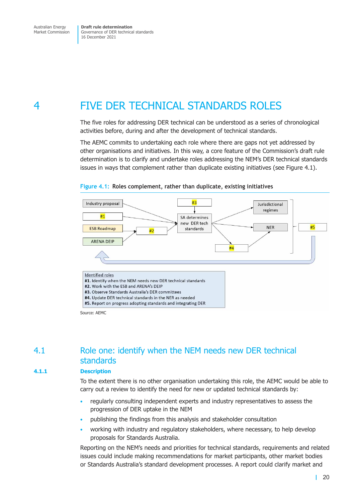<span id="page-26-0"></span>Market Commission

Governance of DER technical standards 16 December 2021

# 4 FIVE DER TECHNICAL STANDARDS ROLES

The five roles for addressing DER technical can be understood as a series of chronological activities before, during and after the development of technical standards.

The AEMC commits to undertaking each role where there are gaps not yet addressed by other organisations and initiatives. In this way, a core feature of the Commission's draft rule determination is to clarify and undertake roles addressing the NEM's DER technical standards issues in ways that complement rather than duplicate existing initiatives (see Figure 4.1).





Source: AEMC

### 4.1 Role one: identify when the NEM needs new DER technical standards

### **4.1.1 Description**

To the extent there is no other organisation undertaking this role, the AEMC would be able to carry out a review to identify the need for new or updated technical standards by:

- <span id="page-26-1"></span>• regularly consulting independent experts and industry representatives to assess the progression of DER uptake in the NEM
- publishing the findings from this analysis and stakeholder consultation
- working with industry and regulatory stakeholders, where necessary, to help develop proposals for Standards Australia.

Reporting on the NEM's needs and priorities for technical standards, requirements and related issues could include making recommendations for market participants, other market bodies or Standards Australia's standard development processes. A report could clarify market and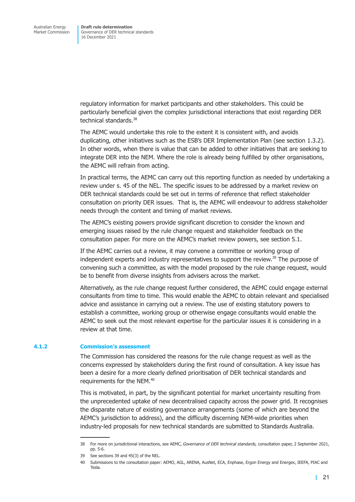regulatory information for market participants and other stakeholders. This could be particularly beneficial given the complex jurisdictional interactions that exist regarding DER technical standards.<sup>38</sup>

The AEMC would undertake this role to the extent it is consistent with, and avoids duplicating, other initiatives such as the ESB's DER Implementation Plan (see section 1.3.2). In other words, when there is value that can be added to other initiatives that are seeking to integrate DER into the NEM. Where the role is already being fulfilled by other organisations, the AEMC will refrain from acting.

In practical terms, the AEMC can carry out this reporting function as needed by undertaking a review under s. 45 of the NEL. The specific issues to be addressed by a market review on DER technical standards could be set out in terms of reference that reflect stakeholder consultation on priority DER issues. That is, the AEMC will endeavour to address stakeholder needs through the content and timing of market reviews.

The AEMC's existing powers provide significant discretion to consider the known and emerging issues raised by the rule change request and stakeholder feedback on the consultation paper. For more on the AEMC's market review powers, see section 5.1.

If the AEMC carries out a review, it may convene a committee or working group of independent experts and industry representatives to support the review.<sup>39</sup> The purpose of convening such a committee, as with the model proposed by the rule c[hange reque](#page-39-2)st, would be to benefit from diverse insights from advisers across the market.

Alternatively, as the rule change request further considered, the AEMC could engage external consultants from time to time. This would enable the AEMC to obtain relevant and specialised advice and assistance in carrying out a review. The use of existing statutory powers to establish a committee, working group or otherwise engage consultants would enable the AEMC to seek out the most relevant expertise for the particular issues it is considering in a review at that time.

#### **4.1.2 Commission's assessment**

The Commission has considered the reasons for the rule change request as well as the concerns expressed by stakeholders during the first round of consultation. A key issue has been a desire for a more clearly defined prioritisation of DER technical standards and requirements for the NEM.<sup>40</sup>

This is motivated, in part, by the significant potential for market uncertainty resulting from the unprecedented uptake of new decentralised capacity across the power grid. It recognises the disparate nature of existing governance arrangements (some of which are beyond the AEMC's jurisdiction to address), and the difficulty discerning NEM-wide priorities when industry-led proposals for new technical standards are submitted to Standards Australia.

<sup>38</sup> For more on jurisdictional interactions, see AEMC, *Governance of DER technical standards,* consultation paper, 2 September 2021, pp. 5-6.

<sup>39</sup> See sections 39 and 45(3) of the NEL.

<sup>40</sup> Submissions to the consultation paper: AEMO, AGL, ARENA, AusNet, ECA, Enphase, Ergon Energy and Energex, IEEFA, PIAC and Tesla.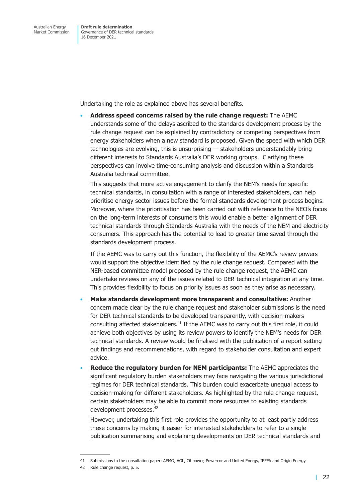Undertaking the role as explained above has several benefits.

• **Address speed concerns raised by the rule change request:** The AEMC understands some of the delays ascribed to the standards development process by the rule change request can be explained by contradictory or competing perspectives from energy stakeholders when a new standard is proposed. Given the speed with which DER technologies are evolving, this is unsurprising — stakeholders understandably bring different interests to Standards Australia's DER working groups. Clarifying these perspectives can involve time-consuming analysis and discussion within a Standards Australia technical committee.

This suggests that more active engagement to clarify the NEM's needs for specific technical standards, in consultation with a range of interested stakeholders, can help prioritise energy sector issues before the formal standards development process begins. Moreover, where the prioritisation has been carried out with reference to the NEO's focus on the long-term interests of consumers this would enable a better alignment of DER technical standards through Standards Australia with the needs of the NEM and electricity consumers. This approach has the potential to lead to greater time saved through the standards development process.

If the AEMC was to carry out this function, the flexibility of the AEMC's review powers would support the objective identified by the rule change request. Compared with the NER-based committee model proposed by the rule change request, the AEMC can undertake reviews on any of the issues related to DER technical integration at any time. This provides flexibility to focus on priority issues as soon as they arise as necessary.

- **Make standards development more transparent and consultative:** Another concern made clear by the rule change request and stakeholder submissions is the need for DER technical standards to be developed transparently, with decision-makers consulting affected stakeholders. $41$  If the AEMC was to carry out this first role, it could achieve both objectives by using its review powers to identify the NEM's needs for DER technical standards. A review would be finalised with the publication of a report setting out findings and recommendations, with regard to stakeholder consultation and expert advice.
- **Reduce the regulatory burden for NEM participants:** The AEMC appreciates the significant regulatory burden stakeholders may face navigating the various jurisdictional regimes for DER technical standards. This burden could exacerbate unequal access to decision-making for different stakeholders. As highlighted by the rule change request, certain stakeholders may be able to commit more resources to existing standards development processes.<sup>42</sup>

However, undertaking this first role provides the opportunity to at least partly address these concerns by making it easier for interested stakeholders to refer to a single publication summarising and explaining developments on DER technical standards and

<sup>41</sup> Submissions to the consultation paper: AEMO, AGL, Citipower, Powercor and United Energy, IEEFA and Origin Energy.

<sup>42</sup> Rule change request, p. 5.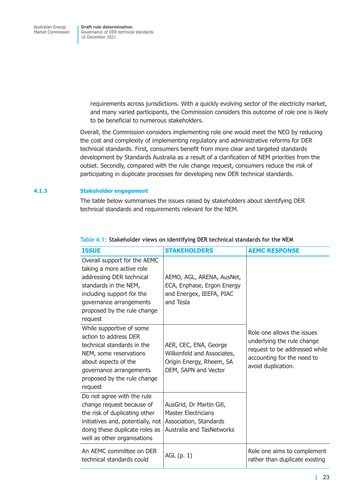> requirements across jurisdictions. With a quickly evolving sector of the electricity market, and many varied participants, the Commission considers this outcome of role one is likely to be beneficial to numerous stakeholders.

Overall, the Commission considers implementing role one would meet the NEO by reducing the cost and complexity of implementing regulatory and administrative reforms for DER technical standards. First, consumers benefit from more clear and targeted standards development by Standards Australia as a result of a clarification of NEM priorities from the outset. Secondly, compared with the rule change request, consumers reduce the risk of participating in duplicate processes for developing new DER technical standards.

### **4.1.3 Stakeholder engagement**

The table below summarises the issues raised by stakeholders about identifying DER technical standards and requirements relevant for the NEM.

| <b>ISSUE</b>                                                                                                                                                                                                     | <b>STAKEHOLDERS</b>                                                                                                  | <b>AEMC RESPONSE</b>                                                                                                                          |
|------------------------------------------------------------------------------------------------------------------------------------------------------------------------------------------------------------------|----------------------------------------------------------------------------------------------------------------------|-----------------------------------------------------------------------------------------------------------------------------------------------|
| Overall support for the AEMC<br>taking a more active role<br>addressing DER technical<br>standards in the NEM,<br>including support for the<br>governance arrangements<br>proposed by the rule change<br>request | AEMO, AGL, ARENA, AusNet,<br>ECA, Enphase, Ergon Energy<br>and Energex, IEEFA, PIAC<br>and Tesla                     |                                                                                                                                               |
| While supportive of some<br>action to address DER<br>technical standards in the<br>NEM, some reservations<br>about aspects of the<br>governance arrangements<br>proposed by the rule change<br>request           | AER, CEC, ENA, George<br>Wilkenfeld and Associates,<br>Origin Energy, Rheem, SA<br>DEM, SAPN and Vector              | Role one allows the issues<br>underlying the rule change<br>request to be addressed while<br>accounting for the need to<br>avoid duplication. |
| Do not agree with the rule<br>change request because of<br>the risk of duplicating other<br>initiatives and, potentially, not<br>doing these duplicate roles as<br>well as other organisations                   | AusGrid, Dr Martin Gill,<br><b>Master Electricians</b><br>Association, Standards<br><b>Australia and TasNetworks</b> |                                                                                                                                               |
| An AEMC committee on DER<br>technical standards could                                                                                                                                                            | $AGL$ (p. 1)                                                                                                         | Role one aims to complement<br>rather than duplicate existing                                                                                 |

### **Table 4.1: Stakeholder views on identifying DER technical standards for the NEM**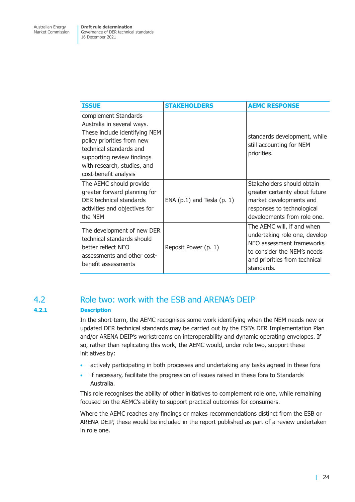<span id="page-30-0"></span>

| <b>ISSUE</b>                                                                                                                                                                                                                       | <b>STAKEHOLDERS</b>            | <b>AEMC RESPONSE</b>                                                                                                                                                   |
|------------------------------------------------------------------------------------------------------------------------------------------------------------------------------------------------------------------------------------|--------------------------------|------------------------------------------------------------------------------------------------------------------------------------------------------------------------|
| complement Standards<br>Australia in several ways.<br>These include identifying NEM<br>policy priorities from new<br>technical standards and<br>supporting review findings<br>with research, studies, and<br>cost-benefit analysis |                                | standards development, while<br>still accounting for NEM<br>priorities.                                                                                                |
| The AEMC should provide<br>greater forward planning for<br>DER technical standards<br>activities and objectives for<br>the NEM                                                                                                     | ENA $(p.1)$ and Tesla $(p. 1)$ | Stakeholders should obtain<br>greater certainty about future<br>market developments and<br>responses to technological<br>developments from role one.                   |
| The development of new DER<br>technical standards should<br>better reflect NEO<br>assessments and other cost-<br>benefit assessments                                                                                               | Reposit Power (p. 1)           | The AEMC will, if and when<br>undertaking role one, develop<br>NEO assessment frameworks<br>to consider the NEM's needs<br>and priorities from technical<br>standards. |

### 4.2 Role two: work with the ESB and ARENA's DEIP

### **4.2.1 Description**

<span id="page-30-1"></span>In the short-term, the AEMC recognises some work identifying when the NEM needs new or updated DER technical standards may be carried out by the ESB's DER Implementation Plan and/or ARENA DEIP's workstreams on interoperability and dynamic operating envelopes. If so, rather than replicating this work, the AEMC would, under role two, support these initiatives by:

- actively participating in both processes and undertaking any tasks agreed in these fora
- if necessary, facilitate the progression of issues raised in these fora to Standards Australia.

This role recognises the ability of other initiatives to complement role one, while remaining focused on the AEMC's ability to support practical outcomes for consumers.

Where the AEMC reaches any findings or makes recommendations distinct from the ESB or ARENA DEIP, these would be included in the report published as part of a review undertaken in role one.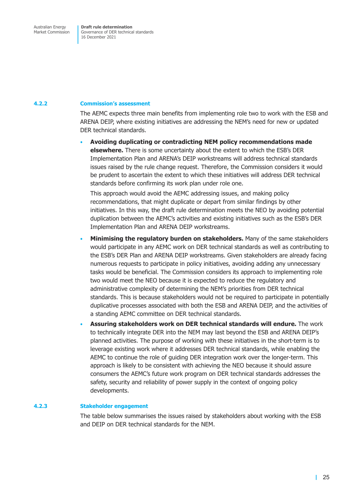### **4.2.2 Commission's assessment**

The AEMC expects three main benefits from implementing role two to work with the ESB and ARENA DEIP, where existing initiatives are addressing the NEM's need for new or updated DER technical standards.

• **Avoiding duplicating or contradicting NEM policy recommendations made elsewhere.** There is some uncertainty about the extent to which the ESB's DER Implementation Plan and ARENA's DEIP workstreams will address technical standards issues raised by the rule change request. Therefore, the Commission considers it would be prudent to ascertain the extent to which these initiatives will address DER technical standards before confirming its work plan under role one.

This approach would avoid the AEMC addressing issues, and making policy recommendations, that might duplicate or depart from similar findings by other initiatives. In this way, the draft rule determination meets the NEO by avoiding potential duplication between the AEMC's activities and existing initiatives such as the ESB's DER Implementation Plan and ARENA DEIP workstreams.

- **Minimising the regulatory burden on stakeholders.** Many of the same stakeholders would participate in any AEMC work on DER technical standards as well as contributing to the ESB's DER Plan and ARENA DEIP workstreams. Given stakeholders are already facing numerous requests to participate in policy initiatives, avoiding adding any unnecessary tasks would be beneficial. The Commission considers its approach to implementing role two would meet the NEO because it is expected to reduce the regulatory and administrative complexity of determining the NEM's priorities from DER technical standards. This is because stakeholders would not be required to participate in potentially duplicative processes associated with both the ESB and ARENA DEIP, and the activities of a standing AEMC committee on DER technical standards.
- **Assuring stakeholders work on DER technical standards will endure.** The work to technically integrate DER into the NEM may last beyond the ESB and ARENA DEIP's planned activities. The purpose of working with these initiatives in the short-term is to leverage existing work where it addresses DER technical standards, while enabling the AEMC to continue the role of guiding DER integration work over the longer-term. This approach is likely to be consistent with achieving the NEO because it should assure consumers the AEMC's future work program on DER technical standards addresses the safety, security and reliability of power supply in the context of ongoing policy developments.

#### **4.2.3 Stakeholder engagement**

The table below summarises the issues raised by stakeholders about working with the ESB and DEIP on DER technical standards for the NEM.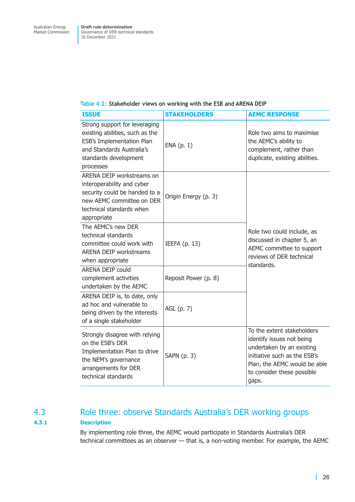### <span id="page-32-0"></span>**Table 4.2: Stakeholder views on working with the ESB and ARENA DEIP**

| <b>ISSUE</b>                                                                                                                                                     | <b>STAKEHOLDERS</b>  | <b>AEMC RESPONSE</b>                                                                                                                                                                        |  |
|------------------------------------------------------------------------------------------------------------------------------------------------------------------|----------------------|---------------------------------------------------------------------------------------------------------------------------------------------------------------------------------------------|--|
| Strong support for leveraging<br>existing abilities, such as the<br>ESB's Implementation Plan<br>and Standards Australia's<br>standards development<br>processes | ENA(p. 1)            | Role two aims to maximise<br>the AEMC's ability to<br>complement, rather than<br>duplicate, existing abilities.                                                                             |  |
| ARENA DEIP workstreams on<br>interoperability and cyber<br>security could be handed to a<br>new AEMC committee on DER<br>technical standards when<br>appropriate | Origin Energy (p. 3) |                                                                                                                                                                                             |  |
| The AEMC's new DER<br>technical standards<br>committee could work with<br><b>ARENA DEIP workstreams</b><br>when appropriate                                      | IEEFA $(p. 13)$      | Role two could include, as<br>discussed in chapter 5, an<br>AEMC committee to support<br>reviews of DER technical<br>standards.                                                             |  |
| <b>ARENA DEIP could</b><br>complement activities<br>undertaken by the AEMC                                                                                       | Reposit Power (p. 8) |                                                                                                                                                                                             |  |
| ARENA DEIP is, to date, only<br>ad hoc and vulnerable to<br>being driven by the interests<br>of a single stakeholder                                             | AGL (p. 7)           |                                                                                                                                                                                             |  |
| Strongly disagree with relying<br>on the ESB's DER<br>Implementation Plan to drive<br>the NEM's governance<br>arrangements for DER<br>technical standards        | SAPN (p. 3)          | To the extent stakeholders<br>identify issues not being<br>undertaken by an existing<br>initiative such as the ESB's<br>Plan, the AEMC would be able<br>to consider these possible<br>gaps. |  |

## 4.3 Role three: observe Standards Australia's DER working groups **4.3.1 Description**

<span id="page-32-1"></span>By implementing role three, the AEMC would participate in Standards Australia's DER technical committees as an observer — that is, a non-voting member. For example, the AEMC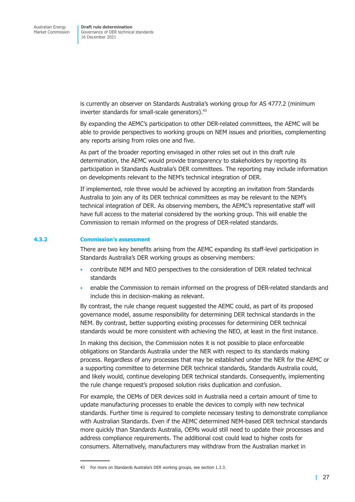is currently an observer on Standards Australia's working group for AS 4777.2 (minimum inverter standards for small-scale generators).<sup>43</sup>

By expanding the AEMC's participation to other DER-related committees, the AEMC will be able to provide perspectives to working groups on NEM issues and priorities, complementing any reports arising from roles one and five.

As part of the broader reporting envisaged in other roles set out in this draft rule determination, the AEMC would provide transparency to stakeholders by reporting its participation in Standards Australia's DER committees. The reporting may include information on developments relevant to the NEM's technical integration of DER.

If implemented, role three would be achieved by accepting an invitation from Standards Australia to join any of its DER technical committees as may be relevant to the NEM's technical integration of DER. As observing members, the AEMC's representative staff will have full access to the material considered by the working group. This will enable the Commission to remain informed on the progress of DER-related standards.

#### **4.3.2 Commission's assessment**

There are two key benefits arising from the AEMC expanding its staff-level participation in Standards Australia's DER working groups as observing members:

- contribute NEM and NEO perspectives to the consideration of DER related technical standards
- enable the Commission to remain informed on the progress of DER-related standards and include this in decision-making as relevant.

By contrast, the rule change request suggested the AEMC could, as part of its proposed governance model, assume responsibility for determining DER technical standards in the NEM. By contrast, better supporting existing processes for determining DER technical standards would be more consistent with achieving the NEO, at least in the first instance.

In making this decision, the Commission notes it is not possible to place enforceable obligations on Standards Australia under the NER with respect to its standards making process. Regardless of any processes that may be established under the NER for the AEMC or a supporting committee to determine DER technical standards, Standards Australia could, and likely would, continue developing DER technical standards. Consequently, implementing the rule change request's proposed solution risks duplication and confusion.

For example, the OEMs of DER devices sold in Australia need a certain amount of time to update manufacturing processes to enable the devices to comply with new technical standards. Further time is required to complete necessary testing to demonstrate compliance with Australian Standards. Even if the AEMC determined NEM-based DER technical standards more quickly than Standards Australia, OEMs would still need to update their processes and address compliance requirements. The additional cost could lead to higher costs for consumers. Alternatively, manufacturers may withdraw from the Australian market in

<sup>43</sup> For more on Standards Australia's DER working groups, see section 1.3.3.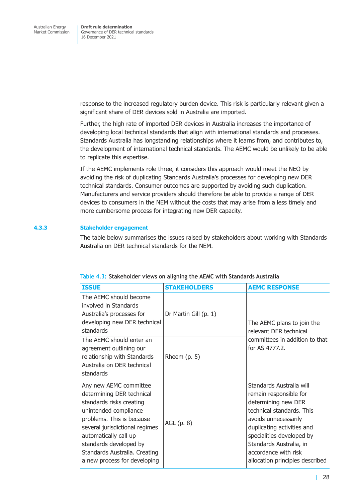response to the increased regulatory burden device. This risk is particularly relevant given a significant share of DER devices sold in Australia are imported.

Further, the high rate of imported DER devices in Australia increases the importance of developing local technical standards that align with international standards and processes. Standards Australia has longstanding relationships where it learns from, and contributes to, the development of international technical standards. The AEMC would be unlikely to be able to replicate this expertise.

If the AEMC implements role three, it considers this approach would meet the NEO by avoiding the risk of duplicating Standards Australia's processes for developing new DER technical standards. Consumer outcomes are supported by avoiding such duplication. Manufacturers and service providers should therefore be able to provide a range of DER devices to consumers in the NEM without the costs that may arise from a less timely and more cumbersome process for integrating new DER capacity.

### **4.3.3 Stakeholder engagement**

The table below summarises the issues raised by stakeholders about working with Standards Australia on DER technical standards for the NEM.

| <b>ISSUE</b>                                                                                                                                                                                                                                                                                | <b>STAKEHOLDERS</b>   | <b>AEMC RESPONSE</b>                                                                                                                                                                                                                                                            |  |
|---------------------------------------------------------------------------------------------------------------------------------------------------------------------------------------------------------------------------------------------------------------------------------------------|-----------------------|---------------------------------------------------------------------------------------------------------------------------------------------------------------------------------------------------------------------------------------------------------------------------------|--|
| The AEMC should become<br>involved in Standards<br>Australia's processes for<br>developing new DER technical<br>standards                                                                                                                                                                   | Dr Martin Gill (p. 1) | The AEMC plans to join the<br>relevant DER technical                                                                                                                                                                                                                            |  |
| The AEMC should enter an<br>agreement outlining our<br>relationship with Standards<br>Australia on DER technical<br>standards                                                                                                                                                               | Rheem $(p. 5)$        | committees in addition to that<br>for AS 4777.2.                                                                                                                                                                                                                                |  |
| Any new AEMC committee<br>determining DER technical<br>standards risks creating<br>unintended compliance<br>problems. This is because<br>several jurisdictional regimes<br>automatically call up<br>standards developed by<br>Standards Australia. Creating<br>a new process for developing | AGL (p. 8)            | Standards Australia will<br>remain responsible for<br>determining new DER<br>technical standards. This<br>avoids unnecessarily<br>duplicating activities and<br>specialities developed by<br>Standards Australia, in<br>accordance with risk<br>allocation principles described |  |

#### **Table 4.3: Stakeholder views on aligning the AEMC with Standards Australia**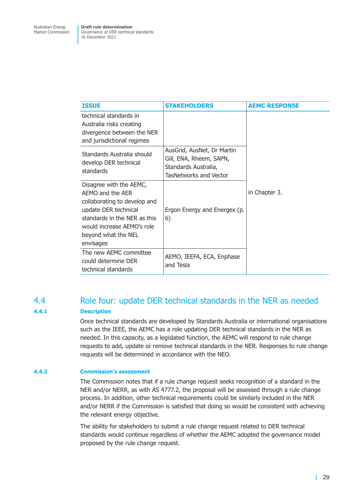<span id="page-35-0"></span>

| <b>ISSUE</b>                                                                                                                                                                                          | <b>STAKEHOLDERS</b>                                                                                            | <b>AEMC RESPONSE</b> |
|-------------------------------------------------------------------------------------------------------------------------------------------------------------------------------------------------------|----------------------------------------------------------------------------------------------------------------|----------------------|
| technical standards in<br>Australia risks creating<br>divergence between the NER<br>and jurisdictional regimes                                                                                        |                                                                                                                |                      |
| Standards Australia should<br>develop DER technical<br>standards                                                                                                                                      | AusGrid, AusNet, Dr Martin<br>Gill, ENA, Rheem, SAPN,<br>Standards Australia,<br><b>TasNetworks and Vector</b> |                      |
| Disagree with the AEMC,<br>AEMO and the AER<br>collaborating to develop and<br>update DER technical<br>standards in the NER as this<br>would increase AEMO's role<br>beyond what the NEL<br>envisages | Ergon Energy and Energex (p.<br>6)                                                                             | in Chapter 3.        |
| The new AEMC committee<br>could determine DER<br>technical standards                                                                                                                                  | AEMO, IEEFA, ECA, Enphase<br>and Tesla                                                                         |                      |

### 4.4 Role four: update DER technical standards in the NER as needed **4.4.1 Description**

<span id="page-35-1"></span>Once technical standards are developed by Standards Australia or international organisations such as the IEEE, the AEMC has a role updating DER technical standards in the NER as needed. In this capacity, as a legislated function, the AEMC will respond to rule change requests to add, update or remove technical standards in the NER. Responses to rule change requests will be determined in accordance with the NEO.

### **4.4.2 Commission's assessment**

The Commission notes that if a rule change request seeks recognition of a standard in the NER and/or NERR, as with AS 4777.2, the proposal will be assessed through a rule change process. In addition, other technical requirements could be similarly included in the NER and/or NERR if the Commission is satisfied that doing so would be consistent with achieving the relevant energy objective.

The ability for stakeholders to submit a rule change request related to DER technical standards would continue regardless of whether the AEMC adopted the governance model proposed by the rule change request.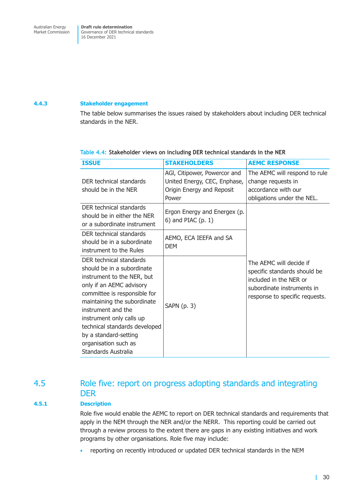### <span id="page-36-0"></span>**4.4.3 Stakeholder engagement**

The table below summarises the issues raised by stakeholders about including DER technical standards in the NER.

| <b>ISSUE</b>                                                                                                                                                                                                                                                                                                                              | <b>STAKEHOLDERS</b>                                                                                | <b>AEMC RESPONSE</b>                                                                                                                              |
|-------------------------------------------------------------------------------------------------------------------------------------------------------------------------------------------------------------------------------------------------------------------------------------------------------------------------------------------|----------------------------------------------------------------------------------------------------|---------------------------------------------------------------------------------------------------------------------------------------------------|
| DER technical standards<br>should be in the NER                                                                                                                                                                                                                                                                                           | AGI, Citipower, Powercor and<br>United Energy, CEC, Enphase,<br>Origin Energy and Reposit<br>Power | The AEMC will respond to rule<br>change requests in<br>accordance with our<br>obligations under the NEL.                                          |
| DER technical standards<br>should be in either the NER<br>or a subordinate instrument                                                                                                                                                                                                                                                     | Ergon Energy and Energex (p.<br>$6)$ and PIAC $(p. 1)$                                             |                                                                                                                                                   |
| DER technical standards<br>should be in a subordinate<br>instrument to the Rules                                                                                                                                                                                                                                                          | AEMO, ECA IEEFA and SA<br><b>DEM</b>                                                               |                                                                                                                                                   |
| DER technical standards<br>should be in a subordinate<br>instrument to the NER, but<br>only if an AEMC advisory<br>committee is responsible for<br>maintaining the subordinate<br>instrument and the<br>instrument only calls up<br>technical standards developed<br>by a standard-setting<br>organisation such as<br>Standards Australia | SAPN $(p. 3)$                                                                                      | The AEMC will decide if<br>specific standards should be<br>included in the NER or<br>subordinate instruments in<br>response to specific requests. |

### **Table 4.4: Stakeholder views on including DER technical standards in the NER**

### 4.5 Role five: report on progress adopting standards and integrating DER

### **4.5.1 Description**

Role five would enable the AEMC to report on DER technical standards and requirements that apply in the NEM through the NER and/or the NERR. This reporting could be carried out through a review process to the extent there are gaps in any existing initiatives and work programs by other organisations. Role five may include:

• reporting on recently introduced or updated DER technical standards in the NEM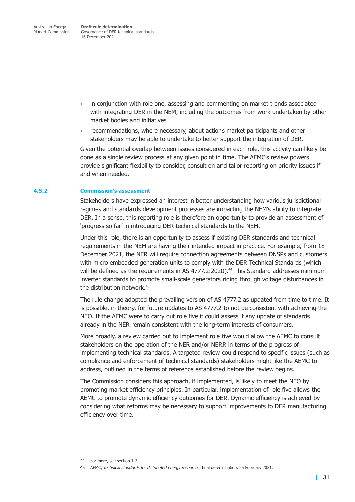Governance of DER technical standards 16 December 2021

- in conjunction with role one, assessing and commenting on market trends associated with integrating DER in the NEM, including the outcomes from work undertaken by other market bodies and initiatives
- recommendations, where necessary, about actions market participants and other stakeholders may be able to undertake to better support the integration of DER.

Given the potential overlap between issues considered in each role, this activity can likely be done as a single review process at any given point in time. The AEMC's review powers provide significant flexibility to consider, consult on and tailor reporting on priority issues if and when needed.

#### **4.5.2 Commission's assessment**

Stakeholders have expressed an interest in better understanding how various jurisdictional regimes and standards development processes are impacting the NEM's ability to integrate DER. In a sense, this reporting role is therefore an opportunity to provide an assessment of 'progress so far' in introducing DER technical standards to the NEM.

Under this role, there is an opportunity to assess if existing DER standards and technical requirements in the NEM are having their intended impact in practice. For example, from 18 December 2021, the NER will require connection agreements between DNSPs and customers with micro embedded generation units to comply with the DER Technical Standards (which will be defined as the requirements in AS 4777.2:2020).<sup>44</sup> This Standard addresses minimum inverter standards to promote small-scale generators riding through voltage disturbances in the distribution network.<sup>45</sup>

The rule change adopted the prevailing version of AS 4777.2 as updated from time to time. It is possible, in theory, for future updates to AS 4777.2 to not be consistent with achieving the NEO. If the AEMC were to carry out role five it could assess if any update of standards already in the NER remain consistent with the long-term interests of consumers.

More broadly, a review carried out to implement role five would allow the AEMC to consult stakeholders on the operation of the NER and/or NERR in terms of the progress of implementing technical standards. A targeted review could respond to specific issues (such as compliance and enforcement of technical standards) stakeholders might like the AEMC to address, outlined in the terms of reference established before the review begins.

The Commission considers this approach, if implemented, is likely to meet the NEO by promoting market efficiency principles. In particular, implementation of role five allows the AEMC to promote dynamic efficiency outcomes for DER. Dynamic efficiency is achieved by considering what reforms may be necessary to support improvements to DER manufacturing efficiency over time.

<sup>44</sup> For more, see section 1.2.

<sup>45</sup> AEMC, *Technical standards for distributed energy resources*, final determination, 25 February 2021.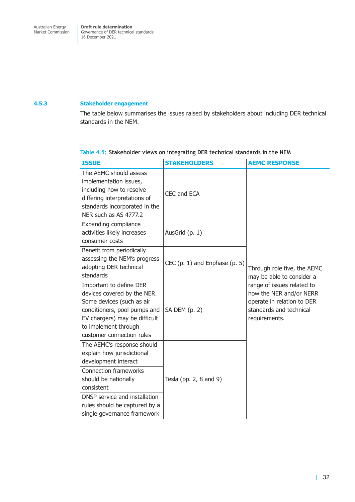### <span id="page-38-0"></span>**4.5.3 Stakeholder engagement**

The table below summarises the issues raised by stakeholders about including DER technical standards in the NEM.

### **Table 4.5: Stakeholder views on integrating DER technical standards in the NEM**

| <b>ISSUE</b>                                                                                                                                                                                              | <b>STAKEHOLDERS</b>               | <b>AEMC RESPONSE</b>                                                                                                            |  |
|-----------------------------------------------------------------------------------------------------------------------------------------------------------------------------------------------------------|-----------------------------------|---------------------------------------------------------------------------------------------------------------------------------|--|
| The AEMC should assess<br>implementation issues,<br>including how to resolve<br>differing interpretations of<br>standards incorporated in the<br>NER such as AS 4777.2                                    | CEC and ECA                       |                                                                                                                                 |  |
| <b>Expanding compliance</b><br>activities likely increases<br>consumer costs                                                                                                                              | AusGrid (p. 1)                    |                                                                                                                                 |  |
| Benefit from periodically<br>assessing the NEM's progress<br>adopting DER technical<br>standards                                                                                                          | CEC $(p. 1)$ and Enphase $(p. 5)$ | Through role five, the AEMC<br>may be able to consider a                                                                        |  |
| Important to define DER<br>devices covered by the NER.<br>Some devices (such as air<br>conditioners, pool pumps and<br>EV chargers) may be difficult<br>to implement through<br>customer connection rules | SA DEM (p. 2)                     | range of issues related to<br>how the NER and/or NERR<br>operate in relation to DER<br>standards and technical<br>requirements. |  |
| The AEMC's response should<br>explain how jurisdictional<br>development interact<br><b>Connection frameworks</b><br>should be nationally<br>consistent                                                    | Tesla (pp. $2, 8$ and $9$ )       |                                                                                                                                 |  |
| DNSP service and installation<br>rules should be captured by a<br>single governance framework                                                                                                             |                                   |                                                                                                                                 |  |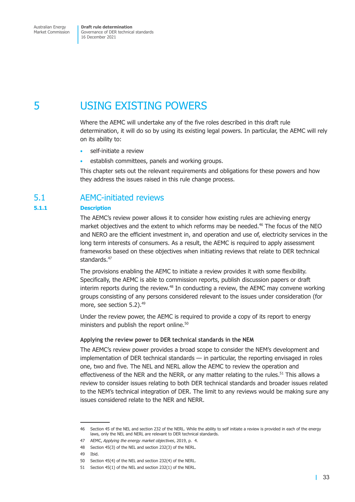<span id="page-39-0"></span>Market Commission

Governance of DER technical standards 16 December 2021

# 5 USING EXISTING POWERS

Where the AEMC will undertake any of the five roles described in this draft rule determination, it will do so by using its existing legal powers. In particular, the AEMC will rely on its ability to:

- <span id="page-39-1"></span>self-initiate a review
- establish committees, panels and working groups.

This chapter sets out the relevant requirements and obligations for these powers and how they address the issues raised in this rule change process.

### 5.1 AEMC-initiated reviews

### **5.1.1 Description**

<span id="page-39-2"></span>The AEMC's review power allows it to consider how existing rules are achieving energy market objectives and the extent to which reforms may be needed.<sup>46</sup> The focus of the NEO and NERO are the efficient investment in, and operation and use of, electricity services in the long term interests of consumers. As a result, the AEMC is required to apply assessment frameworks based on these objectives when initiating reviews that relate to DER technical standards.<sup>47</sup>

The provisions enabling the AEMC to initiate a review provides it with some flexibility. Specifically, the AEMC is able to commission reports, publish discussion papers or draft interim reports during the review.<sup>48</sup> In conducting a review, the AEMC may convene working groups consisting of any persons considered relevant to the issues under consideration (for more, see section 5.2).<sup>49</sup>

Under the review power, the AEMC is required to provide a copy of its report to energy ministers and publish the report online.<sup>50</sup>

#### **Applying the review power to DER technical standards in the NEM**

The AEMC's review power provides a broad scope to consider the NEM's development and implementation of DER technical standards — in particular, the reporting envisaged in roles one, two and five. The NEL and NERL allow the AEMC to review the operation and effectiveness of the NER and the NERR, or any matter relating to the rules.<sup>51</sup> This allows a review to consider issues relating to both DER technical standards and broader issues related to the NEM's technical integration of DER. The limit to any reviews would be making sure any issues considered relate to the NER and NERR.

<sup>46</sup> Section 45 of the NEL and section 232 of the NERL. While the ability to self initiate a review is provided in each of the energy laws, only the NEL and NERL are relevant to DER technical standards.

<sup>47</sup> AEMC, *Applying the energy market objectives*, 2019, p. 4.

<sup>48</sup> Section 45(3) of the NEL and section 232(3) of the NERL.

<sup>49</sup> Ibid.

<sup>50</sup> Section 45(4) of the NEL and section 232(4) of the NERL.

<sup>51</sup> Section 45(1) of the NEL and section 232(1) of the NERL.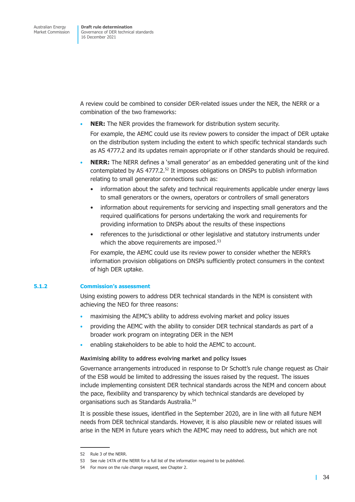A review could be combined to consider DER-related issues under the NER, the NERR or a combination of the two frameworks:

• **NER:** The NER provides the framework for distribution system security.

For example, the AEMC could use its review powers to consider the impact of DER uptake on the distribution system including the extent to which specific technical standards such as AS 4777.2 and its updates remain appropriate or if other standards should be required.

- **NERR:** The NERR defines a 'small generator' as an embedded generating unit of the kind contemplated by AS 4777.2.52 It imposes obligations on DNSPs to publish information relating to small generator connections such as:
	- information about the safety and technical requirements applicable under energy laws to small generators or the owners, operators or controllers of small generators
	- information about requirements for servicing and inspecting small generators and the required qualifications for persons undertaking the work and requirements for providing information to DNSPs about the results of these inspections
	- references to the jurisdictional or other legislative and statutory instruments under which the above requirements are imposed.<sup>53</sup>

For example, the AEMC could use its review power to consider whether the NERR's information provision obligations on DNSPs sufficiently protect consumers in the context of high DER uptake.

### **5.1.2 Commission's assessment**

Using existing powers to address DER technical standards in the NEM is consistent with achieving the NEO for three reasons:

- maximising the AEMC's ability to address evolving market and policy issues
- providing the AEMC with the ability to consider DER technical standards as part of a broader work program on integrating DER in the NEM
- enabling stakeholders to be able to hold the AEMC to account.

### **Maximising ability to address evolving market and policy issues**

Governance arrangements introduced in response to Dr Schott's rule change request as Chair of the ESB would be limited to addressing the issues raised by the request. The issues include implementing consistent DER technical standards across the NEM and concern about the pace, flexibility and transparency by which technical standards are developed by organisations such as Standards Australia.<sup>54</sup>

It is possible these issues, identified in the September 2020, are in line with all future NEM needs from DER technical standards. However, it is also plausible new or related issues will arise in the NEM in future years which the AEMC may need to address, but which are not

<sup>52</sup> Rule 3 of the NERR.

<sup>53</sup> See rule 147A of the NERR for a full list of the information required to be published.

<sup>54</sup> For more on the rule change request, see Chapter 2.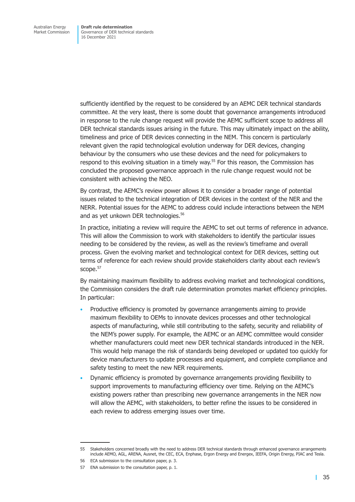sufficiently identified by the request to be considered by an AEMC DER technical standards committee. At the very least, there is some doubt that governance arrangements introduced in response to the rule change request will provide the AEMC sufficient scope to address all DER technical standards issues arising in the future. This may ultimately impact on the ability, timeliness and price of DER devices connecting in the NEM. This concern is particularly relevant given the rapid technological evolution underway for DER devices, changing behaviour by the consumers who use these devices and the need for policymakers to respond to this evolving situation in a timely way.<sup>55</sup> For this reason, the Commission has concluded the proposed governance approach in the rule change request would not be consistent with achieving the NEO.

By contrast, the AEMC's review power allows it to consider a broader range of potential issues related to the technical integration of DER devices in the context of the NER and the NERR. Potential issues for the AEMC to address could include interactions between the NEM and as yet unkown DER technologies.<sup>56</sup>

In practice, initiating a review will require the AEMC to set out terms of reference in advance. This will allow the Commission to work with stakeholders to identify the particular issues needing to be considered by the review, as well as the review's timeframe and overall process. Given the evolving market and technological context for DER devices, setting out terms of reference for each review should provide stakeholders clarity about each review's scope.<sup>57</sup>

By maintaining maximum flexibility to address evolving market and technological conditions, the Commission considers the draft rule determination promotes market efficiency principles. In particular:

- Productive efficiency is promoted by governance arrangements aiming to provide maximum flexibility to OEMs to innovate devices processes and other technological aspects of manufacturing, while still contributing to the safety, security and reliability of the NEM's power supply. For example, the AEMC or an AEMC committee would consider whether manufacturers could meet new DER technical standards introduced in the NER. This would help manage the risk of standards being developed or updated too quickly for device manufacturers to update processes and equipment, and complete compliance and safety testing to meet the new NER requirements.
- Dynamic efficiency is promoted by governance arrangements providing flexibility to support improvements to manufacturing efficiency over time. Relying on the AEMC's existing powers rather than prescribing new governance arrangements in the NER now will allow the AEMC, with stakeholders, to better refine the issues to be considered in each review to address emerging issues over time.

<sup>55</sup> Stakeholders concerned broadly with the need to address DER technical standards through enhanced governance arrangements include AEMO, AGL, ARENA, Ausnet, the CEC, ECA, Enphase, Ergon Energy and Energex, IEEFA, Origin Energy, PIAC and Tesla.

<sup>56</sup> ECA submission to the consultation paper, p. 3.

<sup>57</sup> ENA submission to the consultation paper, p. 1.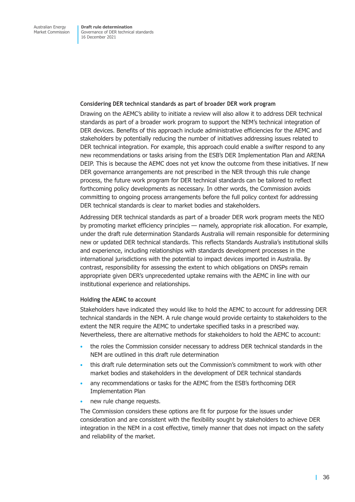#### **Considering DER technical standards as part of broader DER work program**

Drawing on the AEMC's ability to initiate a review will also allow it to address DER technical standards as part of a broader work program to support the NEM's technical integration of DER devices. Benefits of this approach include administrative efficiencies for the AEMC and stakeholders by potentially reducing the number of initiatives addressing issues related to DER technical integration. For example, this approach could enable a swifter respond to any new recommendations or tasks arising from the ESB's DER Implementation Plan and ARENA DEIP. This is because the AEMC does not yet know the outcome from these initiatives. If new DER governance arrangements are not prescribed in the NER through this rule change process, the future work program for DER technical standards can be tailored to reflect forthcoming policy developments as necessary. In other words, the Commission avoids committing to ongoing process arrangements before the full policy context for addressing DER technical standards is clear to market bodies and stakeholders.

Addressing DER technical standards as part of a broader DER work program meets the NEO by promoting market efficiency principles — namely, appropriate risk allocation. For example, under the draft rule determination Standards Australia will remain responsible for determining new or updated DER technical standards. This reflects Standards Australia's institutional skills and experience, including relationships with standards development processes in the international jurisdictions with the potential to impact devices imported in Australia. By contrast, responsibility for assessing the extent to which obligations on DNSPs remain appropriate given DER's unprecedented uptake remains with the AEMC in line with our institutional experience and relationships.

### **Holding the AEMC to account**

Stakeholders have indicated they would like to hold the AEMC to account for addressing DER technical standards in the NEM. A rule change would provide certainty to stakeholders to the extent the NER require the AEMC to undertake specified tasks in a prescribed way. Nevertheless, there are alternative methods for stakeholders to hold the AEMC to account:

- the roles the Commission consider necessary to address DER technical standards in the NEM are outlined in this draft rule determination
- this draft rule determination sets out the Commission's commitment to work with other market bodies and stakeholders in the development of DER technical standards
- any recommendations or tasks for the AEMC from the ESB's forthcoming DER Implementation Plan
- new rule change requests.

The Commission considers these options are fit for purpose for the issues under consideration and are consistent with the flexibility sought by stakeholders to achieve DER integration in the NEM in a cost effective, timely manner that does not impact on the safety and reliability of the market.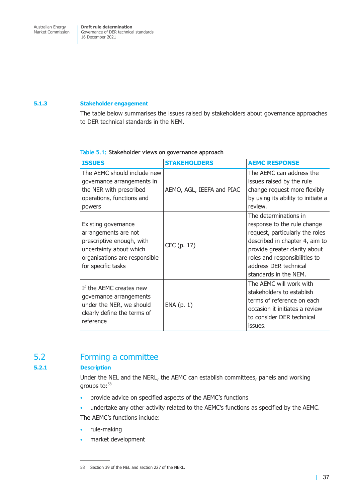### <span id="page-43-0"></span>**5.1.3 Stakeholder engagement**

The table below summarises the issues raised by stakeholders about governance approaches to DER technical standards in the NEM.

| <b>ISSUES</b>                                                                                                                                              | <b>STAKEHOLDERS</b>       | <b>AEMC RESPONSE</b>                                                                                                                                                                                                                          |
|------------------------------------------------------------------------------------------------------------------------------------------------------------|---------------------------|-----------------------------------------------------------------------------------------------------------------------------------------------------------------------------------------------------------------------------------------------|
| The AEMC should include new<br>governance arrangements in<br>the NER with prescribed<br>operations, functions and<br>powers                                | AEMO, AGL, IEEFA and PIAC | The AEMC can address the<br>issues raised by the rule<br>change request more flexibly<br>by using its ability to initiate a<br>review.                                                                                                        |
| Existing governance<br>arrangements are not<br>prescriptive enough, with<br>uncertainty about which<br>organisations are responsible<br>for specific tasks | CEC (p. 17)               | The determinations in<br>response to the rule change<br>request, particularly the roles<br>described in chapter 4, aim to<br>provide greater clarity about<br>roles and responsibilities to<br>address DER technical<br>standards in the NEM. |
| If the AEMC creates new<br>governance arrangements<br>under the NER, we should<br>clearly define the terms of<br>reference                                 | ENA(p. 1)                 | The AEMC will work with<br>stakeholders to establish<br>terms of reference on each<br>occasion it initiates a review<br>to consider DER technical<br>issues.                                                                                  |

### **Table 5.1: Stakeholder views on governance approach**

### 5.2 Forming a committee

### **5.2.1 Description**

Under the NEL and the NERL, the AEMC can establish committees, panels and working groups to:58

- provide advice on specified aspects of the AEMC's functions
- undertake any other activity related to the AEMC's functions as specified by the AEMC.

The AEMC's functions include:

- rule-making
- market development

<sup>58</sup> Section 39 of the NEL and section 227 of the NERL.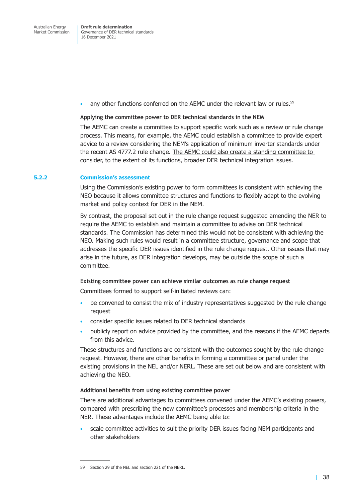• any other functions conferred on the AEMC under the relevant law or rules.<sup>59</sup>

#### **Applying the committee power to DER technical standards in the NEM**

The AEMC can create a committee to support specific work such as a review or rule change process. This means, for example, the AEMC could establish a committee to provide expert advice to a review considering the NEM's application of minimum inverter standards under the recent AS 4777.2 rule change. The AEMC could also create a standing committee to consider, to the extent of its functions, broader DER technical integration issues.

#### **5.2.2 Commission's assessment**

Using the Commission's existing power to form committees is consistent with achieving the NEO because it allows committee structures and functions to flexibly adapt to the evolving market and policy context for DER in the NEM.

By contrast, the proposal set out in the rule change request suggested amending the NER to require the AEMC to establish and maintain a committee to advise on DER technical standards. The Commission has determined this would not be consistent with achieving the NEO. Making such rules would result in a committee structure, governance and scope that addresses the specific DER issues identified in the rule change request. Other issues that may arise in the future, as DER integration develops, may be outside the scope of such a committee.

#### **Existing committee power can achieve similar outcomes as rule change request**

Committees formed to support self-initiated reviews can:

- be convened to consist the mix of industry representatives suggested by the rule change request
- consider specific issues related to DER technical standards
- publicly report on advice provided by the committee, and the reasons if the AEMC departs from this advice.

These structures and functions are consistent with the outcomes sought by the rule change request. However, there are other benefits in forming a committee or panel under the existing provisions in the NEL and/or NERL. These are set out below and are consistent with achieving the NEO.

### **Additional benefits from using existing committee power**

There are additional advantages to committees convened under the AEMC's existing powers, compared with prescribing the new committee's processes and membership criteria in the NER. These advantages include the AEMC being able to:

• scale committee activities to suit the priority DER issues facing NEM participants and other stakeholders

<sup>59</sup> Section 29 of the NEL and section 221 of the NERL.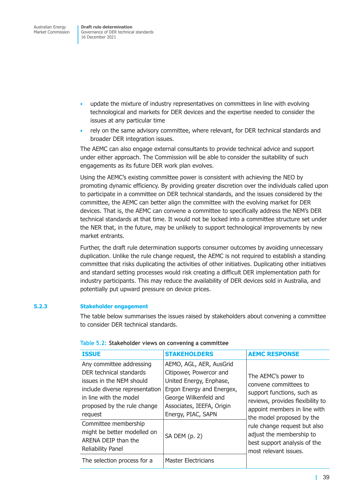- <span id="page-45-0"></span>• update the mixture of industry representatives on committees in line with evolving technological and markets for DER devices and the expertise needed to consider the issues at any particular time
- rely on the same advisory committee, where relevant, for DER technical standards and broader DER integration issues.

The AEMC can also engage external consultants to provide technical advice and support under either approach. The Commission will be able to consider the suitability of such engagements as its future DER work plan evolves.

Using the AEMC's existing committee power is consistent with achieving the NEO by promoting dynamic efficiency. By providing greater discretion over the individuals called upon to participate in a committee on DER technical standards, and the issues considered by the committee, the AEMC can better align the committee with the evolving market for DER devices. That is, the AEMC can convene a committee to specifically address the NEM's DER technical standards at that time. It would not be locked into a committee structure set under the NER that, in the future, may be unlikely to support technological improvements by new market entrants.

Further, the draft rule determination supports consumer outcomes by avoiding unnecessary duplication. Unlike the rule change request, the AEMC is not required to establish a standing committee that risks duplicating the activities of other initiatives. Duplicating other initiatives and standard setting processes would risk creating a difficult DER implementation path for industry participants. This may reduce the availability of DER devices sold in Australia, and potentially put upward pressure on device prices.

### **5.2.3 Stakeholder engagement**

The table below summarises the issues raised by stakeholders about convening a committee to consider DER technical standards.

| <b>ISSUE</b>                                                                                                                                                                          | <b>STAKEHOLDERS</b>                                                                                                                                                                    | <b>AEMC RESPONSE</b>                                                                                                                                                        |
|---------------------------------------------------------------------------------------------------------------------------------------------------------------------------------------|----------------------------------------------------------------------------------------------------------------------------------------------------------------------------------------|-----------------------------------------------------------------------------------------------------------------------------------------------------------------------------|
| Any committee addressing<br>DER technical standards<br>issues in the NEM should<br>include diverse representation<br>in line with the model<br>proposed by the rule change<br>request | AEMO, AGL, AER, AusGrid<br>Citipower, Powercor and<br>United Energy, Enphase,<br>Ergon Energy and Energex,<br>George Wilkenfeld and<br>Associates, IEEFA, Origin<br>Energy, PIAC, SAPN | The AEMC's power to<br>convene committees to<br>support functions, such as<br>reviews, provides flexibility to<br>appoint members in line with<br>the model proposed by the |
| Committee membership<br>might be better modelled on<br>ARENA DEIP than the<br><b>Reliability Panel</b>                                                                                | SA DEM (p. 2)                                                                                                                                                                          | rule change request but also<br>adjust the membership to<br>best support analysis of the<br>most relevant issues.                                                           |
| The selection process for a                                                                                                                                                           | Master Electricians                                                                                                                                                                    |                                                                                                                                                                             |

#### **Table 5.2: Stakeholder views on convening a committee**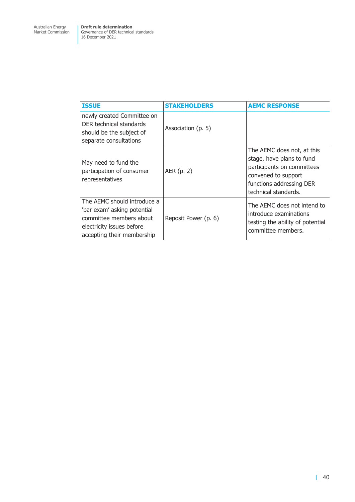| <b>ISSUE</b>                                                                                                                                     | <b>STAKEHOLDERS</b>  | <b>AEMC RESPONSE</b>                                                                                                                                             |
|--------------------------------------------------------------------------------------------------------------------------------------------------|----------------------|------------------------------------------------------------------------------------------------------------------------------------------------------------------|
| newly created Committee on<br>DER technical standards<br>should be the subject of<br>separate consultations                                      | Association (p. 5)   |                                                                                                                                                                  |
| May need to fund the<br>participation of consumer<br>representatives                                                                             | AER (p. 2)           | The AEMC does not, at this<br>stage, have plans to fund<br>participants on committees<br>convened to support<br>functions addressing DER<br>technical standards. |
| The AEMC should introduce a<br>'bar exam' asking potential<br>committee members about<br>electricity issues before<br>accepting their membership | Reposit Power (p. 6) | The AEMC does not intend to<br>introduce examinations<br>testing the ability of potential<br>committee members.                                                  |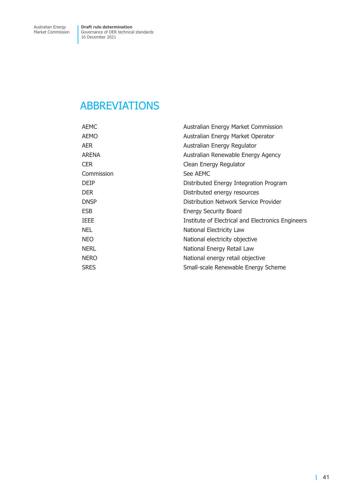# <span id="page-47-0"></span>ABBREVIATIONS

| <b>AEMC</b> | Australian Energy Market Commission               |
|-------------|---------------------------------------------------|
| AEMO        | Australian Energy Market Operator                 |
| AER         | Australian Energy Regulator                       |
| ARENA       | Australian Renewable Energy Agency                |
| <b>CER</b>  | Clean Energy Regulator                            |
| Commission  | See AEMC                                          |
| <b>DEIP</b> | Distributed Energy Integration Program            |
| <b>DER</b>  | Distributed energy resources                      |
| <b>DNSP</b> | Distribution Network Service Provider             |
| ESB         | <b>Energy Security Board</b>                      |
| IEEE        | Institute of Electrical and Electronics Engineers |
| NEL.        | National Electricity Law                          |
| NEO         | National electricity objective                    |
| NERL        | National Energy Retail Law                        |
| <b>NERO</b> | National energy retail objective                  |
| <b>SRES</b> | Small-scale Renewable Energy Scheme               |
|             |                                                   |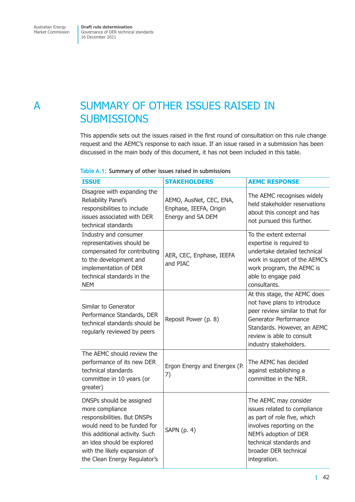# <span id="page-48-0"></span>A SUMMARY OF OTHER ISSUES RAISED IN **SUBMISSIONS**

<span id="page-48-1"></span>This appendix sets out the issues raised in the first round of consultation on this rule change request and the AEMC's response to each issue. If an issue raised in a submission has been discussed in the main body of this document, it has not been included in this table.

| <b>ISSUE</b>                                                                                                                                                                                                                              | <b>STAKEHOLDERS</b>                                                    | <b>AEMC RESPONSE</b>                                                                                                                                                                                           |
|-------------------------------------------------------------------------------------------------------------------------------------------------------------------------------------------------------------------------------------------|------------------------------------------------------------------------|----------------------------------------------------------------------------------------------------------------------------------------------------------------------------------------------------------------|
| Disagree with expanding the<br>Reliability Panel's<br>responsibilities to include<br>issues associated with DER<br>technical standards                                                                                                    | AEMO, AusNet, CEC, ENA,<br>Enphase, IEEFA, Origin<br>Energy and SA DEM | The AEMC recognises widely<br>held stakeholder reservations<br>about this concept and has<br>not pursued this further.                                                                                         |
| Industry and consumer<br>representatives should be<br>compensated for contributing<br>to the development and<br>implementation of DER<br>technical standards in the<br><b>NEM</b>                                                         | AER, CEC, Enphase, IEEFA<br>and PIAC                                   | To the extent external<br>expertise is required to<br>undertake detailed technical<br>work in support of the AEMC's<br>work program, the AEMC is<br>able to engage paid<br>consultants.                        |
| Similar to Generator<br>Performance Standards, DER<br>technical standards should be<br>regularly reviewed by peers                                                                                                                        | Reposit Power (p. 8)                                                   | At this stage, the AEMC does<br>not have plans to introduce<br>peer review similar to that for<br>Generator Performance<br>Standards. However, an AEMC<br>review is able to consult<br>industry stakeholders.  |
| The AEMC should review the<br>performance of its new DER<br>technical standards<br>committee in 10 years (or<br>greater)                                                                                                                  | Ergon Energy and Energex (P.<br>7)                                     | The AEMC has decided<br>against establishing a<br>committee in the NER.                                                                                                                                        |
| DNSPs should be assigned<br>more compliance<br>responsibilities. But DNSPs<br>would need to be funded for<br>this additional activity. Such<br>an idea should be explored<br>with the likely expansion of<br>the Clean Energy Regulator's | SAPN (p. 4)                                                            | The AEMC may consider<br>issues related to compliance<br>as part of role five, which<br>involves reporting on the<br>NEM's adoption of DER<br>technical standards and<br>broader DER technical<br>integration. |

### **Table A.1: Summary of other issues raised in submissions**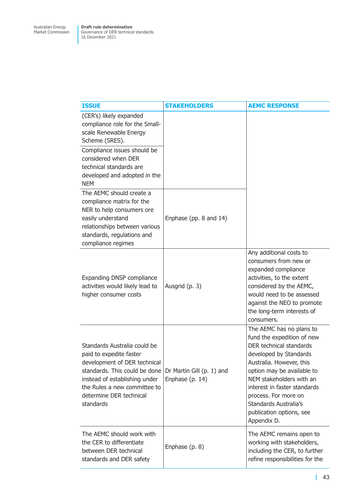| <b>ISSUE</b>                                                                                                                                                                                                                      | <b>STAKEHOLDERS</b>                          | <b>AEMC RESPONSE</b>                                                                                                                                                                                                                                                                                                          |
|-----------------------------------------------------------------------------------------------------------------------------------------------------------------------------------------------------------------------------------|----------------------------------------------|-------------------------------------------------------------------------------------------------------------------------------------------------------------------------------------------------------------------------------------------------------------------------------------------------------------------------------|
| (CER's) likely expanded<br>compliance role for the Small-<br>scale Renewable Energy<br>Scheme (SRES).<br>Compliance issues should be                                                                                              |                                              |                                                                                                                                                                                                                                                                                                                               |
| considered when DER<br>technical standards are<br>developed and adopted in the<br><b>NEM</b>                                                                                                                                      |                                              |                                                                                                                                                                                                                                                                                                                               |
| The AEMC should create a<br>compliance matrix for the<br>NER to help consumers ore<br>easily understand<br>relationships between various<br>standards, regulations and<br>compliance regimes                                      | Enphase (pp. 8 and 14)                       |                                                                                                                                                                                                                                                                                                                               |
| Expanding DNSP compliance<br>activities would likely lead to<br>higher consumer costs                                                                                                                                             | Ausgrid (p. 3)                               | Any additional costs to<br>consumers from new or<br>expanded compliance<br>activities, to the extent<br>considered by the AEMC,<br>would need to be assessed<br>against the NEO to promote<br>the long-term interests of<br>consumers.                                                                                        |
| Standards Australia could be<br>paid to expedite faster<br>development of DER technical<br>standards. This could be done<br>instead of establishing under<br>the Rules a new committee to<br>determine DER technical<br>standards | Dr Martin Gill (p. 1) and<br>Enphase (p. 14) | The AEMC has no plans to<br>fund the expedition of new<br>DER technical standards<br>developed by Standards<br>Australia. However, this<br>option may be available to<br>NEM stakeholders with an<br>interest in faster standards<br>process. For more on<br>Standards Australia's<br>publication options, see<br>Appendix D. |
| The AEMC should work with<br>the CER to differentiate<br>between DER technical<br>standards and DER safety                                                                                                                        | Enphase (p. 8)                               | The AEMC remains open to<br>working with stakeholders,<br>including the CER, to further<br>refine responsibilities for the                                                                                                                                                                                                    |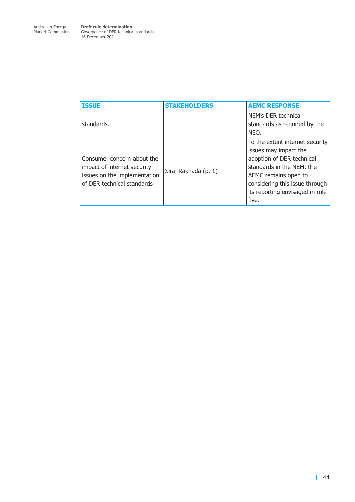| <b>ISSUE</b>                                                                                                            | <b>STAKEHOLDERS</b>  | <b>AEMC RESPONSE</b>                                                                                                                                                                                                     |
|-------------------------------------------------------------------------------------------------------------------------|----------------------|--------------------------------------------------------------------------------------------------------------------------------------------------------------------------------------------------------------------------|
| standards.                                                                                                              |                      | NEM's DER technical<br>standards as required by the<br>NEO.                                                                                                                                                              |
| Consumer concern about the<br>impact of internet security<br>issues on the implementation<br>of DER technical standards | Siraj Rakhada (p. 1) | To the extent internet security<br>issues may impact the<br>adoption of DER technical<br>standards in the NEM, the<br>AEMC remains open to<br>considering this issue through<br>its reporting envisaged in role<br>five. |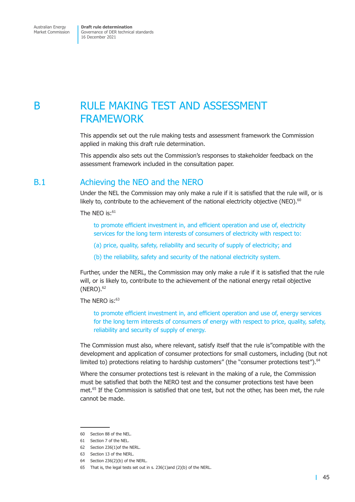# <span id="page-51-0"></span>B **RULE MAKING TEST AND ASSESSMENT** FRAMEWORK

<span id="page-51-1"></span>This appendix set out the rule making tests and assessment framework the Commission applied in making this draft rule determination.

This appendix also sets out the Commission's responses to stakeholder feedback on the assessment framework included in the consultation paper.

### B.1 Achieving the NEO and the NERO

Under the NEL the Commission may only make a rule if it is satisfied that the rule will, or is likely to, contribute to the achievement of the national electricity objective (NEO).<sup>60</sup>

The NEO is: $61$ 

to promote efficient investment in, and efficient operation and use of, electricity services for the long term interests of consumers of electricity with respect to:

(a) price, quality, safety, reliability and security of supply of electricity; and

(b) the reliability, safety and security of the national electricity system.

Further, under the NERL, the Commission may only make a rule if it is satisfied that the rule will, or is likely to, contribute to the achievement of the national energy retail objective  $(NERO).<sup>62</sup>$ 

The NERO is:<sup>63</sup>

to promote efficient investment in, and efficient operation and use of, energy services for the long term interests of consumers of energy with respect to price, quality, safety, reliability and security of supply of energy.

The Commission must also, where relevant, satisfy itself that the rule is"compatible with the development and application of consumer protections for small customers, including (but not limited to) protections relating to hardship customers" (the "consumer protections test").<sup>64</sup>

Where the consumer protections test is relevant in the making of a rule, the Commission must be satisfied that both the NERO test and the consumer protections test have been met.<sup>65</sup> If the Commission is satisfied that one test, but not the other, has been met, the rule cannot be made.

<sup>60</sup> Section 88 of the NEL.

<sup>61</sup> Section 7 of the NEL.

<sup>62</sup> Section 236(1)of the NERL.

<sup>63</sup> Section 13 of the NERL.

<sup>64</sup> Section 236(2)(b) of the NERL.

<sup>65</sup> That is, the legal tests set out in s. 236(1)and (2)(b) of the NERL.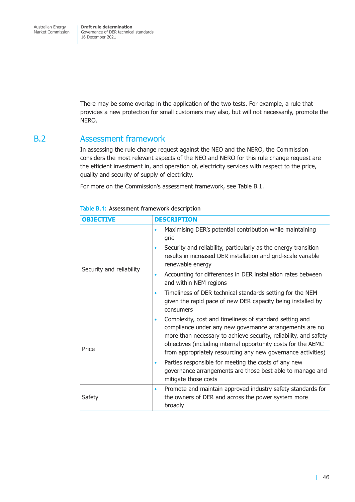<span id="page-52-0"></span>Governance of DER technical standards 16 December 2021

There may be some overlap in the application of the two tests. For example, a rule that provides a new protection for small customers may also, but will not necessarily, promote the NERO.

### B.2 Assessment framework

In assessing the rule change request against the NEO and the NERO, the Commission considers the most relevant aspects of the NEO and NERO for this rule change request are the efficient investment in, and operation of, electricity services with respect to the price, quality and security of supply of electricity.

For more on the Commission's assessment framework, see Table B.1.

| <b>OBJECTIVE</b>         | <b>DESCRIPTION</b>                                                                                                                                                                                                                                                                                                                   |
|--------------------------|--------------------------------------------------------------------------------------------------------------------------------------------------------------------------------------------------------------------------------------------------------------------------------------------------------------------------------------|
| Security and reliability | Maximising DER's potential contribution while maintaining<br>٠<br>grid                                                                                                                                                                                                                                                               |
|                          | Security and reliability, particularly as the energy transition<br>results in increased DER installation and grid-scale variable<br>renewable energy                                                                                                                                                                                 |
|                          | Accounting for differences in DER installation rates between<br>and within NEM regions                                                                                                                                                                                                                                               |
|                          | Timeliness of DER technical standards setting for the NEM<br>given the rapid pace of new DER capacity being installed by<br>consumers                                                                                                                                                                                                |
| Price                    | Complexity, cost and timeliness of standard setting and<br>$\bullet$<br>compliance under any new governance arrangements are no<br>more than necessary to achieve security, reliability, and safety<br>objectives (including internal opportunity costs for the AEMC<br>from appropriately resourcing any new governance activities) |
|                          | Parties responsible for meeting the costs of any new<br>governance arrangements are those best able to manage and<br>mitigate those costs                                                                                                                                                                                            |
| Safety                   | Promote and maintain approved industry safety standards for<br>$\bullet$<br>the owners of DER and across the power system more<br>broadly                                                                                                                                                                                            |

#### **Table B.1: Assessment framework description**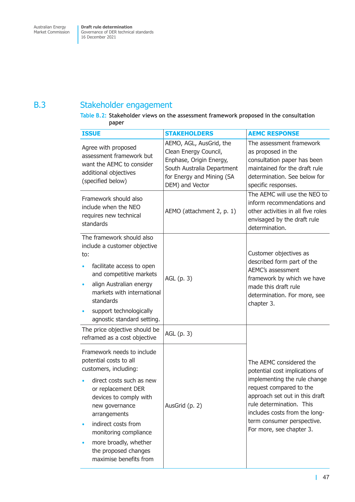# <span id="page-53-0"></span>B.3 Stakeholder engagement

### **Table B.2: Stakeholder views on the assessment framework proposed in the consultation paper**

| <b>ISSUE</b>                                                                                                                                                                                                                                                                                                           | <b>STAKEHOLDERS</b>                                                                                                                                       | <b>AEMC RESPONSE</b>                                                                                                                                                                                                                                                          |
|------------------------------------------------------------------------------------------------------------------------------------------------------------------------------------------------------------------------------------------------------------------------------------------------------------------------|-----------------------------------------------------------------------------------------------------------------------------------------------------------|-------------------------------------------------------------------------------------------------------------------------------------------------------------------------------------------------------------------------------------------------------------------------------|
| Agree with proposed<br>assessment framework but<br>want the AEMC to consider<br>additional objectives<br>(specified below)                                                                                                                                                                                             | AEMO, AGL, AusGrid, the<br>Clean Energy Council,<br>Enphase, Origin Energy,<br>South Australia Department<br>for Energy and Mining (SA<br>DEM) and Vector | The assessment framework<br>as proposed in the<br>consultation paper has been<br>maintained for the draft rule<br>determination. See below for<br>specific responses.                                                                                                         |
| Framework should also<br>include when the NEO<br>requires new technical<br>standards                                                                                                                                                                                                                                   | AEMO (attachment 2, p. 1)                                                                                                                                 | The AEMC will use the NEO to<br>inform recommendations and<br>other activities in all five roles<br>envisaged by the draft rule<br>determination.                                                                                                                             |
| The framework should also<br>include a customer objective<br>to:<br>facilitate access to open<br>and competitive markets<br>align Australian energy<br>markets with international<br>standards<br>support technologically<br>agnostic standard setting.                                                                | AGL (p. 3)                                                                                                                                                | Customer objectives as<br>described form part of the<br>AEMC's assessment<br>framework by which we have<br>made this draft rule<br>determination. For more, see<br>chapter 3.                                                                                                 |
| The price objective should be<br>reframed as a cost objective                                                                                                                                                                                                                                                          | AGL (p. 3)                                                                                                                                                |                                                                                                                                                                                                                                                                               |
| Framework needs to include<br>potential costs to all<br>customers, including:<br>direct costs such as new<br>or replacement DER<br>devices to comply with<br>new governance<br>arrangements<br>indirect costs from<br>monitoring compliance<br>more broadly, whether<br>the proposed changes<br>maximise benefits from | AusGrid (p. 2)                                                                                                                                            | The AEMC considered the<br>potential cost implications of<br>implementing the rule change<br>request compared to the<br>approach set out in this draft<br>rule determination. This<br>includes costs from the long-<br>term consumer perspective.<br>For more, see chapter 3. |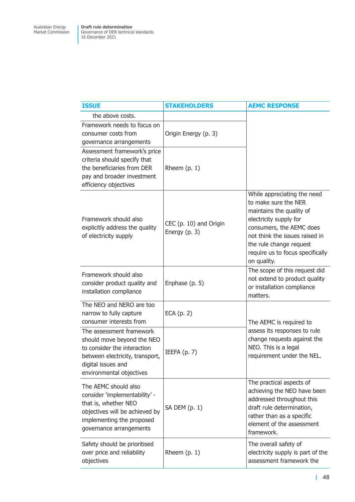| <b>ISSUE</b>                                                                                                                                                               | <b>STAKEHOLDERS</b>                     | <b>AEMC RESPONSE</b>                                                                                                                                                                                                                                  |
|----------------------------------------------------------------------------------------------------------------------------------------------------------------------------|-----------------------------------------|-------------------------------------------------------------------------------------------------------------------------------------------------------------------------------------------------------------------------------------------------------|
| the above costs.                                                                                                                                                           |                                         |                                                                                                                                                                                                                                                       |
| Framework needs to focus on<br>consumer costs from<br>governance arrangements                                                                                              | Origin Energy (p. 3)                    |                                                                                                                                                                                                                                                       |
| Assessment framework's price<br>criteria should specify that<br>the beneficiaries from DER<br>pay and broader investment<br>efficiency objectives                          | Rheem $(p. 1)$                          |                                                                                                                                                                                                                                                       |
| Framework should also<br>explicitly address the quality<br>of electricity supply                                                                                           | CEC (p. 10) and Origin<br>Energy (p. 3) | While appreciating the need<br>to make sure the NER<br>maintains the quality of<br>electricity supply for<br>consumers, the AEMC does<br>not think the issues raised in<br>the rule change request<br>require us to focus specifically<br>on quality. |
| Framework should also<br>consider product quality and<br>installation compliance                                                                                           | Enphase (p. 5)                          | The scope of this request did<br>not extend to product quality<br>or installation compliance<br>matters.                                                                                                                                              |
| The NEO and NERO are too<br>narrow to fully capture<br>consumer interests from                                                                                             | ECA $(p. 2)$                            | The AEMC is required to                                                                                                                                                                                                                               |
| The assessment framework<br>should move beyond the NEO<br>to consider the interaction<br>between electricity, transport,<br>digital issues and<br>environmental objectives | IEEFA $(p. 7)$                          | assess its responses to rule<br>change requests against the<br>NEO. This is a legal<br>requirement under the NEL.                                                                                                                                     |
| The AEMC should also<br>consider 'implementability' -<br>that is, whether NEO<br>objectives will be achieved by<br>implementing the proposed<br>governance arrangements    | SA DEM (p. 1)                           | The practical aspects of<br>achieving the NEO have been<br>addressed throughout this<br>draft rule determination,<br>rather than as a specific<br>element of the assessment<br>framework.                                                             |
| Safety should be prioritised<br>over price and reliability<br>objectives                                                                                                   | Rheem (p. 1)                            | The overall safety of<br>electricity supply is part of the<br>assessment framework the                                                                                                                                                                |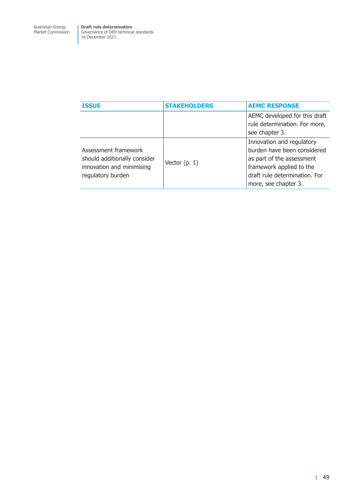| <b>ISSUE</b>                                                                                           | <b>STAKEHOLDERS</b> | <b>AEMC RESPONSE</b>                                                                                                                                                       |
|--------------------------------------------------------------------------------------------------------|---------------------|----------------------------------------------------------------------------------------------------------------------------------------------------------------------------|
|                                                                                                        |                     | AEMC developed for this draft<br>rule determination. For more,<br>see chapter 3.                                                                                           |
| Assessment framework<br>should additionally consider<br>innovation and minimising<br>regulatory burden | Vector $(p, 1)$     | Innovation and regulatory<br>burden have been considered<br>as part of the assessment<br>framework applied to the<br>draft rule determination. For<br>more, see chapter 3. |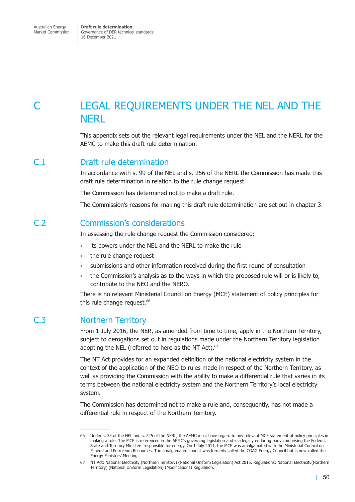<span id="page-56-0"></span>Market Commission

Governance of DER technical standards 16 December 2021

# C LEGAL REQUIREMENTS UNDER THE NEL AND THE **NFRI**

This appendix sets out the relevant legal requirements under the NEL and the NERL for the AEMC to make this draft rule determination.

### C.1 Draft rule determination

In accordance with s. 99 of the NEL and s. 256 of the NERL the Commission has made this draft rule determination in relation to the rule change request.

The Commission has determined not to make a draft rule.

The Commission's reasons for making this draft rule determination are set out in chapter 3.

### C.2 Commission's considerations

In assessing the rule change request the Commission considered:

- its powers under the NEL and the NERL to make the rule
- the rule change request
- submissions and other information received during the first round of consultation
- the Commission's analysis as to the ways in which the proposed rule will or is likely to, contribute to the NEO and the NERO.

There is no relevant Ministerial Council on Energy (MCE) statement of policy principles for this rule change request.<sup>66</sup>

### C.3 Northern Territory

From 1 July 2016, the NER, as amended from time to time, apply in the Northern Territory, subject to derogations set out in regulations made under the Northern Territory legislation adopting the NEL (referred to here as the NT Act).<sup>67</sup>

The NT Act provides for an expanded definition of the national electricity system in the context of the application of the NEO to rules made in respect of the Northern Territory, as well as providing the Commission with the ability to make a differential rule that varies in its terms between the national electricity system and the Northern Territory's local electricity system.

The Commission has determined not to make a rule and, consequently, has not made a differential rule in respect of the Northern Territory.

<sup>66</sup> Under s. 33 of the NEL and s. 225 of the NERL, the AEMC must have regard to any relevant MCE statement of policy principles in making a rule. The MCE is referenced in the AEMC's governing legislation and is a legally enduring body comprising the Federal, State and Territory Ministers responsible for energy. On 1 July 2011, the MCE was amalgamated with the Ministerial Council on Mineral and Petroleum Resources. The amalgamated council was formerly called the COAG Energy Council but is now called the Energy Ministers' Meeting.

<sup>67</sup> NT Act: National Electricity (Northern Territory) (National Uniform Legislation) Act 2015. Regulations: National Electricity(Northern Territory) (National Uniform Legislation) (Modifications) Regulation.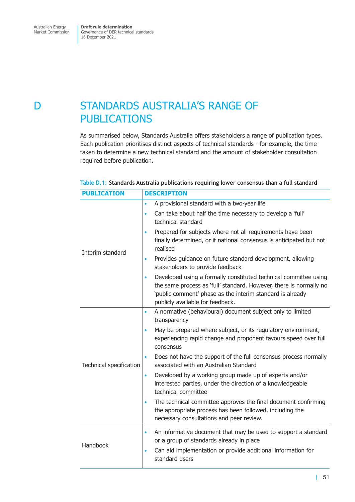# <span id="page-57-0"></span>D **STANDARDS AUSTRALIA'S RANGE OF** PUBLICATIONS

As summarised below, Standards Australia offers stakeholders a range of publication types. Each publication prioritises distinct aspects of technical standards - for example, the time taken to determine a new technical standard and the amount of stakeholder consultation required before publication.

| <b>PUBLICATION</b>      | <b>DESCRIPTION</b>                                                                                                                                                                                                                                   |
|-------------------------|------------------------------------------------------------------------------------------------------------------------------------------------------------------------------------------------------------------------------------------------------|
|                         | A provisional standard with a two-year life<br>$\bullet$                                                                                                                                                                                             |
| Interim standard        | Can take about half the time necessary to develop a 'full'<br>$\bullet$<br>technical standard                                                                                                                                                        |
|                         | Prepared for subjects where not all requirements have been<br>$\bullet$<br>finally determined, or if national consensus is anticipated but not<br>realised                                                                                           |
|                         | Provides guidance on future standard development, allowing<br>$\bullet$<br>stakeholders to provide feedback                                                                                                                                          |
|                         | Developed using a formally constituted technical committee using<br>$\bullet$<br>the same process as 'full' standard. However, there is normally no<br>'public comment' phase as the interim standard is already<br>publicly available for feedback. |
| Technical specification | A normative (behavioural) document subject only to limited<br>$\bullet$<br>transparency                                                                                                                                                              |
|                         | May be prepared where subject, or its regulatory environment,<br>$\bullet$<br>experiencing rapid change and proponent favours speed over full<br>consensus                                                                                           |
|                         | Does not have the support of the full consensus process normally<br>$\bullet$<br>associated with an Australian Standard                                                                                                                              |
|                         | Developed by a working group made up of experts and/or<br>$\bullet$<br>interested parties, under the direction of a knowledgeable<br>technical committee                                                                                             |
|                         | The technical committee approves the final document confirming<br>the appropriate process has been followed, including the<br>necessary consultations and peer review.                                                                               |
| Handbook                | An informative document that may be used to support a standard<br>$\bullet$<br>or a group of standards already in place                                                                                                                              |
|                         | Can aid implementation or provide additional information for<br>$\bullet$<br>standard users                                                                                                                                                          |

### **Table D.1: Standards Australia publications requiring lower consensus than a full standard**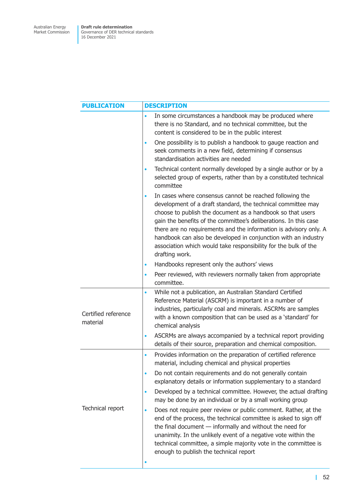| <b>PUBLICATION</b>              | <b>DESCRIPTION</b>                                                                                                                                                                                                                                                                                                                                                                                                                                                                                  |
|---------------------------------|-----------------------------------------------------------------------------------------------------------------------------------------------------------------------------------------------------------------------------------------------------------------------------------------------------------------------------------------------------------------------------------------------------------------------------------------------------------------------------------------------------|
|                                 | In some circumstances a handbook may be produced where<br>$\bullet$<br>there is no Standard, and no technical committee, but the<br>content is considered to be in the public interest                                                                                                                                                                                                                                                                                                              |
|                                 | One possibility is to publish a handbook to gauge reaction and<br>$\bullet$<br>seek comments in a new field, determining if consensus<br>standardisation activities are needed                                                                                                                                                                                                                                                                                                                      |
|                                 | Technical content normally developed by a single author or by a<br>$\bullet$<br>selected group of experts, rather than by a constituted technical<br>committee                                                                                                                                                                                                                                                                                                                                      |
|                                 | In cases where consensus cannot be reached following the<br>$\bullet$<br>development of a draft standard, the technical committee may<br>choose to publish the document as a handbook so that users<br>gain the benefits of the committee's deliberations. In this case<br>there are no requirements and the information is advisory only. A<br>handbook can also be developed in conjunction with an industry<br>association which would take responsibility for the bulk of the<br>drafting work. |
|                                 | Handbooks represent only the authors' views<br>$\bullet$                                                                                                                                                                                                                                                                                                                                                                                                                                            |
|                                 | Peer reviewed, with reviewers normally taken from appropriate<br>$\bullet$<br>committee.                                                                                                                                                                                                                                                                                                                                                                                                            |
| Certified reference<br>material | While not a publication, an Australian Standard Certified<br>$\bullet$<br>Reference Material (ASCRM) is important in a number of<br>industries, particularly coal and minerals. ASCRMs are samples<br>with a known composition that can be used as a 'standard' for<br>chemical analysis                                                                                                                                                                                                            |
|                                 | ASCRMs are always accompanied by a technical report providing<br>$\bullet$<br>details of their source, preparation and chemical composition.                                                                                                                                                                                                                                                                                                                                                        |
| Technical report                | Provides information on the preparation of certified reference<br>$\bullet$<br>material, including chemical and physical properties                                                                                                                                                                                                                                                                                                                                                                 |
|                                 | Do not contain requirements and do not generally contain<br>٠<br>explanatory details or information supplementary to a standard                                                                                                                                                                                                                                                                                                                                                                     |
|                                 | Developed by a technical committee. However, the actual drafting<br>$\bullet$<br>may be done by an individual or by a small working group                                                                                                                                                                                                                                                                                                                                                           |
|                                 | Does not require peer review or public comment. Rather, at the<br>$\bullet$<br>end of the process, the technical committee is asked to sign off<br>the final document $-$ informally and without the need for<br>unanimity. In the unlikely event of a negative vote within the<br>technical committee, a simple majority vote in the committee is<br>enough to publish the technical report                                                                                                        |